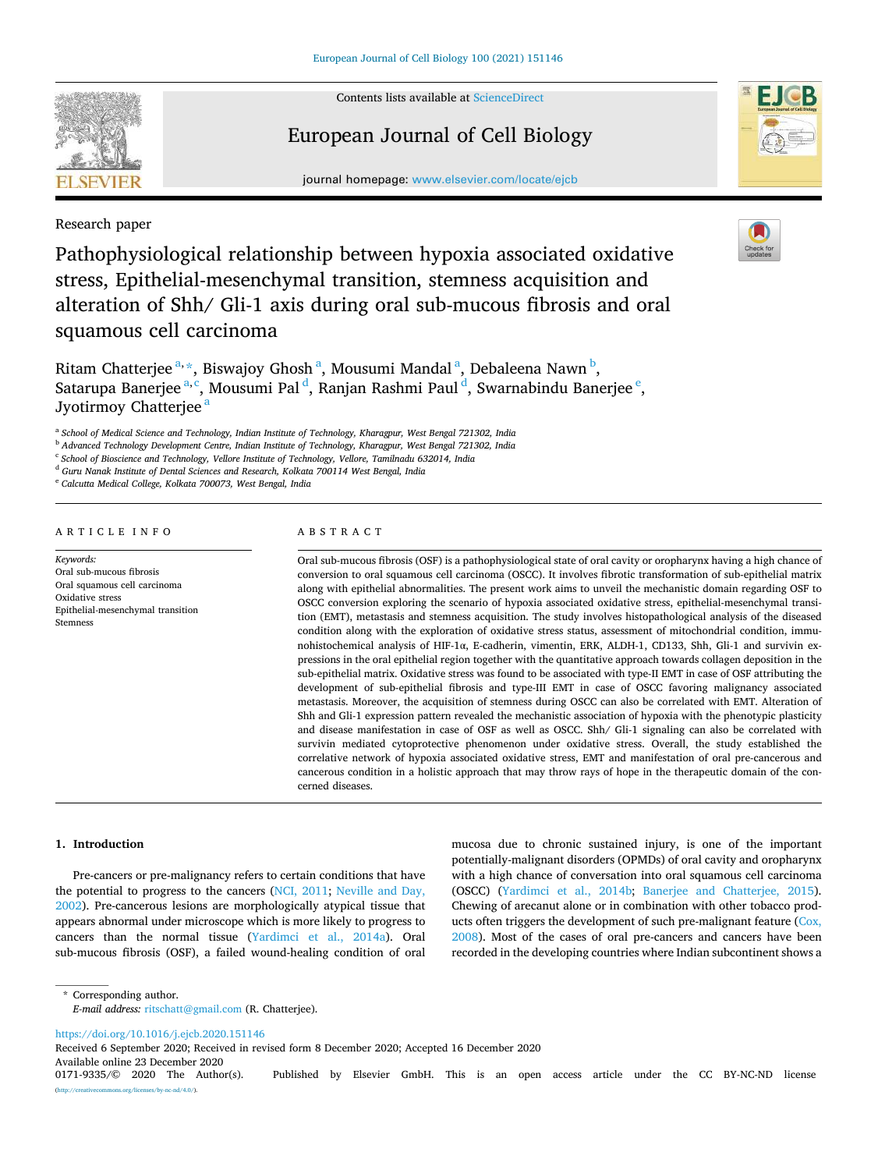

Contents lists available at [ScienceDirect](www.sciencedirect.com/science/journal/01719335)

# European Journal of Cell Biology

journal homepage: [www.elsevier.com/locate/ejcb](https://www.elsevier.com/locate/ejcb)

Research paper

Pathophysiological relationship between hypoxia associated oxidative stress, Epithelial-mesenchymal transition, stemness acquisition and alteration of Shh/ Gli-1 axis during oral sub-mucous fibrosis and oral squamous cell carcinoma

Ritam Chatterjee <sup>a, \*</sup>, Biswajoy Ghosh <sup>a</sup>, Mousumi Mandal <sup>a</sup>, Debaleena Nawn <sup>b</sup>, Satarupa Banerjee <sup>a, c</sup>, Mousumi Pal <sup>d</sup>, Ranjan Rashmi Paul <sup>d</sup>, Swarnabindu Banerjee <sup>e</sup>, Jyotirmoy Chatterjee<sup>a</sup>

a *School of Medical Science and Technology, Indian Institute of Technology, Kharagpur, West Bengal 721302, India* 

<sup>b</sup> *Advanced Technology Development Centre, Indian Institute of Technology, Kharagpur, West Bengal 721302, India* 

c *School of Bioscience and Technology, Vellore Institute of Technology, Vellore, Tamilnadu 632014, India* 

<sup>d</sup> *Guru Nanak Institute of Dental Sciences and Research, Kolkata 700114 West Bengal, India* 

<sup>e</sup> *Calcutta Medical College, Kolkata 700073, West Bengal, India* 

#### A R T I C L E I N F O

*Keywords:*  Oral sub-mucous fibrosis Oral squamous cell carcinoma Oxidative stress Epithelial-mesenchymal transition Stemness

### ABSTRACT

Oral sub-mucous fibrosis (OSF) is a pathophysiological state of oral cavity or oropharynx having a high chance of conversion to oral squamous cell carcinoma (OSCC). It involves fibrotic transformation of sub-epithelial matrix along with epithelial abnormalities. The present work aims to unveil the mechanistic domain regarding OSF to OSCC conversion exploring the scenario of hypoxia associated oxidative stress, epithelial-mesenchymal transition (EMT), metastasis and stemness acquisition. The study involves histopathological analysis of the diseased condition along with the exploration of oxidative stress status, assessment of mitochondrial condition, immunohistochemical analysis of HIF-1α, E-cadherin, vimentin, ERK, ALDH-1, CD133, Shh, Gli-1 and survivin expressions in the oral epithelial region together with the quantitative approach towards collagen deposition in the sub-epithelial matrix. Oxidative stress was found to be associated with type-II EMT in case of OSF attributing the development of sub-epithelial fibrosis and type-III EMT in case of OSCC favoring malignancy associated metastasis. Moreover, the acquisition of stemness during OSCC can also be correlated with EMT. Alteration of Shh and Gli-1 expression pattern revealed the mechanistic association of hypoxia with the phenotypic plasticity and disease manifestation in case of OSF as well as OSCC. Shh/ Gli-1 signaling can also be correlated with survivin mediated cytoprotective phenomenon under oxidative stress. Overall, the study established the correlative network of hypoxia associated oxidative stress, EMT and manifestation of oral pre-cancerous and cancerous condition in a holistic approach that may throw rays of hope in the therapeutic domain of the concerned diseases.

#### **1. Introduction**

Pre-cancers or pre-malignancy refers to certain conditions that have the potential to progress to the cancers [\(NCI, 2011;](#page-9-0) [Neville and Day,](#page-9-0)  [2002\)](#page-9-0). Pre-cancerous lesions are morphologically atypical tissue that appears abnormal under microscope which is more likely to progress to cancers than the normal tissue ([Yardimci et al., 2014a\)](#page-10-0). Oral sub-mucous fibrosis (OSF), a failed wound-healing condition of oral mucosa due to chronic sustained injury, is one of the important potentially-malignant disorders (OPMDs) of oral cavity and oropharynx with a high chance of conversation into oral squamous cell carcinoma (OSCC) ([Yardimci et al., 2014b;](#page-10-0) [Banerjee and Chatterjee, 2015](#page-8-0)). Chewing of arecanut alone or in combination with other tobacco products often triggers the development of such pre-malignant feature (Cox, [2008\)](#page-9-0). Most of the cases of oral pre-cancers and cancers have been recorded in the developing countries where Indian subcontinent shows a

\* Corresponding author.

<https://doi.org/10.1016/j.ejcb.2020.151146>

Available online 23 December 2020<br>0171-9335/© 2020 The Author(s). Received 6 September 2020; Received in revised form 8 December 2020; Accepted 16 December 2020







*E-mail address:* [ritschatt@gmail.com](mailto:ritschatt@gmail.com) (R. Chatterjee).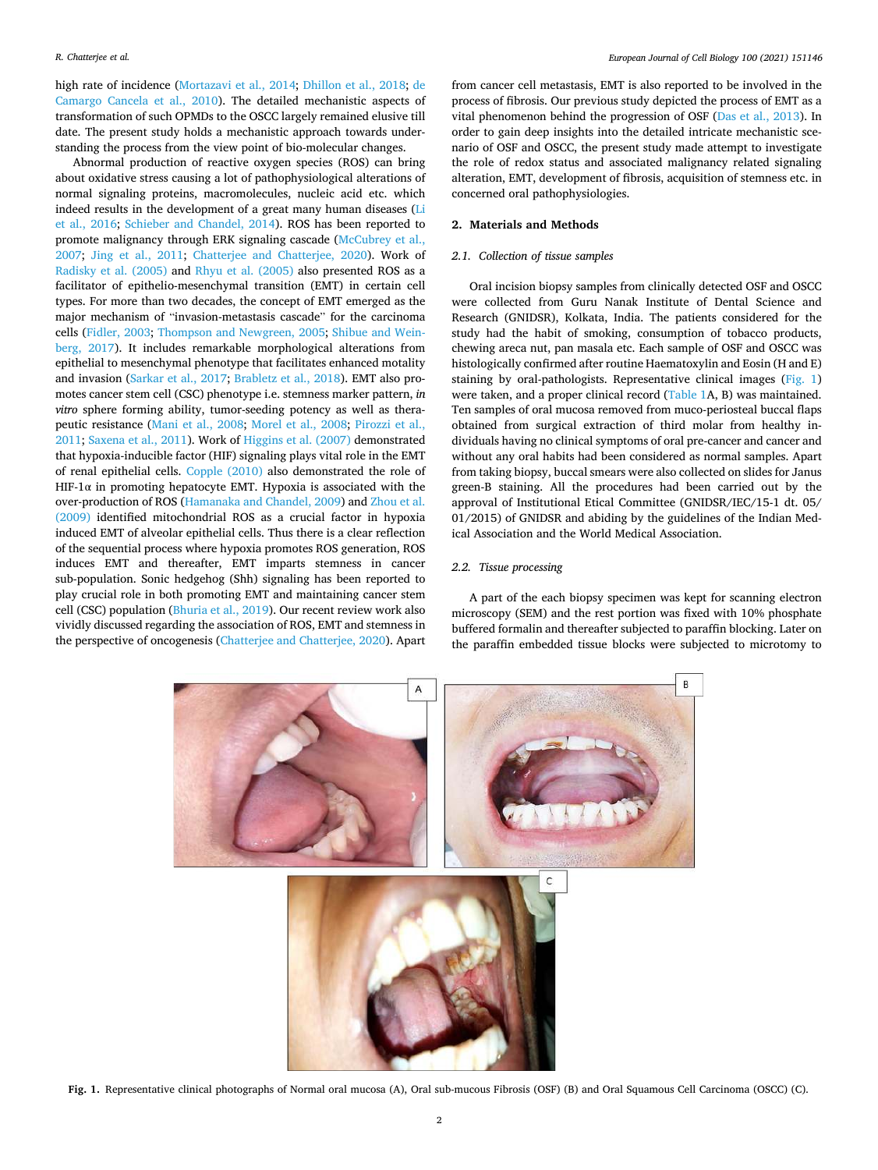high rate of incidence ([Mortazavi et al., 2014;](#page-9-0) [Dhillon et al., 2018](#page-9-0); [de](#page-9-0)  [Camargo Cancela et al., 2010](#page-9-0)). The detailed mechanistic aspects of transformation of such OPMDs to the OSCC largely remained elusive till date. The present study holds a mechanistic approach towards understanding the process from the view point of bio-molecular changes.

Abnormal production of reactive oxygen species (ROS) can bring about oxidative stress causing a lot of pathophysiological alterations of normal signaling proteins, macromolecules, nucleic acid etc. which indeed results in the development of a great many human diseases [\(Li](#page-9-0)  [et al., 2016](#page-9-0); [Schieber and Chandel, 2014\)](#page-9-0). ROS has been reported to promote malignancy through ERK signaling cascade ([McCubrey et al.,](#page-9-0)  [2007;](#page-9-0) [Jing et al., 2011;](#page-9-0) [Chatterjee and Chatterjee, 2020](#page-9-0)). Work of [Radisky et al. \(2005\)](#page-9-0) and [Rhyu et al. \(2005\)](#page-9-0) also presented ROS as a facilitator of epithelio-mesenchymal transition (EMT) in certain cell types. For more than two decades, the concept of EMT emerged as the major mechanism of "invasion-metastasis cascade" for the carcinoma cells ([Fidler, 2003](#page-9-0); [Thompson and Newgreen, 2005;](#page-10-0) [Shibue and Wein](#page-9-0)[berg, 2017\)](#page-9-0). It includes remarkable morphological alterations from epithelial to mesenchymal phenotype that facilitates enhanced motality and invasion [\(Sarkar et al., 2017](#page-9-0); [Brabletz et al., 2018](#page-8-0)). EMT also promotes cancer stem cell (CSC) phenotype i.e. stemness marker pattern, *in vitro* sphere forming ability, tumor-seeding potency as well as therapeutic resistance [\(Mani et al., 2008](#page-9-0); [Morel et al., 2008;](#page-9-0) [Pirozzi et al.,](#page-9-0)  [2011; Saxena et al., 2011](#page-9-0)). Work of [Higgins et al. \(2007\)](#page-9-0) demonstrated that hypoxia-inducible factor (HIF) signaling plays vital role in the EMT of renal epithelial cells. [Copple \(2010\)](#page-9-0) also demonstrated the role of HIF-1 $\alpha$  in promoting hepatocyte EMT. Hypoxia is associated with the over-production of ROS [\(Hamanaka and Chandel, 2009](#page-9-0)) and [Zhou et al.](#page-10-0)  [\(2009\)](#page-10-0) identified mitochondrial ROS as a crucial factor in hypoxia induced EMT of alveolar epithelial cells. Thus there is a clear reflection of the sequential process where hypoxia promotes ROS generation, ROS induces EMT and thereafter, EMT imparts stemness in cancer sub-population. Sonic hedgehog (Shh) signaling has been reported to play crucial role in both promoting EMT and maintaining cancer stem cell (CSC) population [\(Bhuria et al., 2019](#page-8-0)). Our recent review work also vividly discussed regarding the association of ROS, EMT and stemness in the perspective of oncogenesis [\(Chatterjee and Chatterjee, 2020\)](#page-9-0). Apart from cancer cell metastasis, EMT is also reported to be involved in the process of fibrosis. Our previous study depicted the process of EMT as a vital phenomenon behind the progression of OSF ([Das et al., 2013\)](#page-9-0). In order to gain deep insights into the detailed intricate mechanistic scenario of OSF and OSCC, the present study made attempt to investigate the role of redox status and associated malignancy related signaling alteration, EMT, development of fibrosis, acquisition of stemness etc. in concerned oral pathophysiologies.

#### **2. Materials and Methods**

# *2.1. Collection of tissue samples*

Oral incision biopsy samples from clinically detected OSF and OSCC were collected from Guru Nanak Institute of Dental Science and Research (GNIDSR), Kolkata, India. The patients considered for the study had the habit of smoking, consumption of tobacco products, chewing areca nut, pan masala etc. Each sample of OSF and OSCC was histologically confirmed after routine Haematoxylin and Eosin (H and E) staining by oral-pathologists. Representative clinical images (Fig. 1) were taken, and a proper clinical record [\(Table 1A](#page-2-0), B) was maintained. Ten samples of oral mucosa removed from muco-periosteal buccal flaps obtained from surgical extraction of third molar from healthy individuals having no clinical symptoms of oral pre-cancer and cancer and without any oral habits had been considered as normal samples. Apart from taking biopsy, buccal smears were also collected on slides for Janus green-B staining. All the procedures had been carried out by the approval of Institutional Etical Committee (GNIDSR/IEC/15-1 dt. 05/ 01/2015) of GNIDSR and abiding by the guidelines of the Indian Medical Association and the World Medical Association.

#### *2.2. Tissue processing*

A part of the each biopsy specimen was kept for scanning electron microscopy (SEM) and the rest portion was fixed with 10% phosphate buffered formalin and thereafter subjected to paraffin blocking. Later on the paraffin embedded tissue blocks were subjected to microtomy to



**Fig. 1.** Representative clinical photographs of Normal oral mucosa (A), Oral sub-mucous Fibrosis (OSF) (B) and Oral Squamous Cell Carcinoma (OSCC) (C).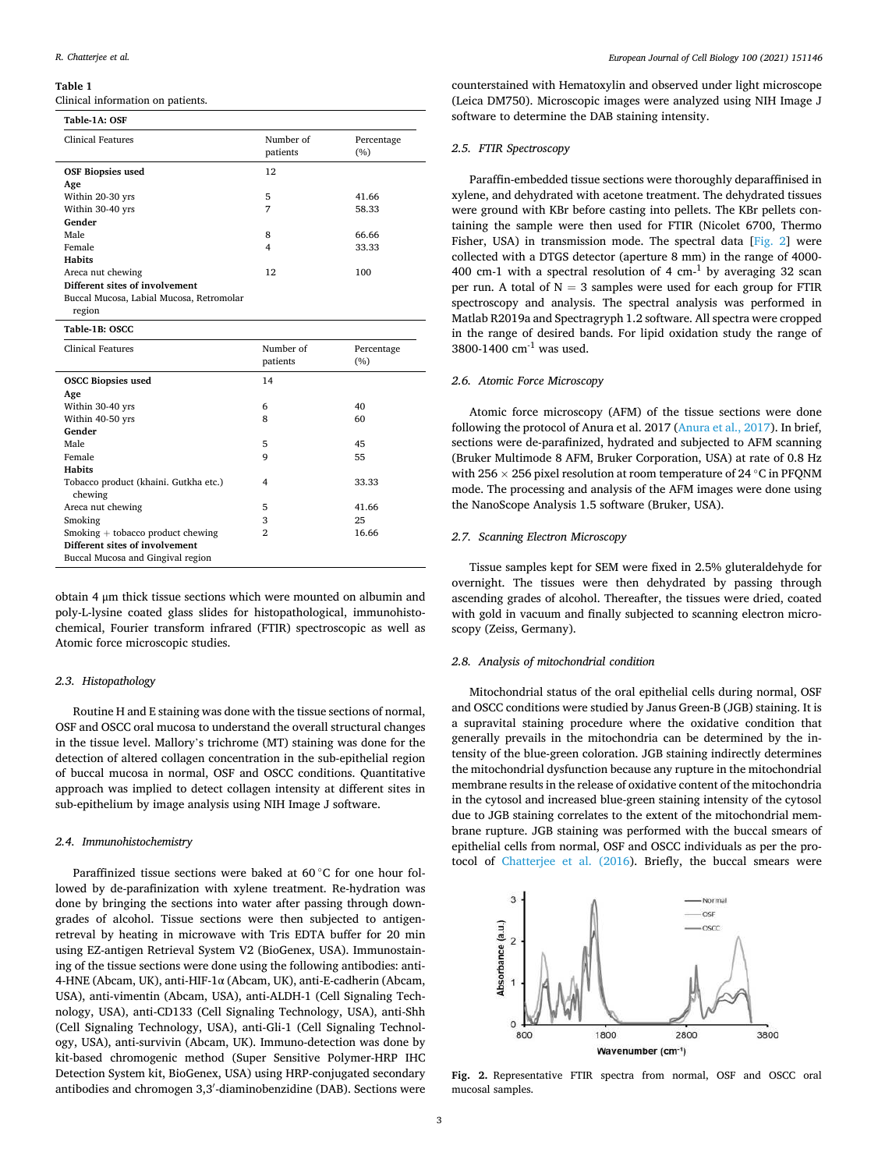#### <span id="page-2-0"></span>**Table 1**

Clinical information on patients.

| Table-1A: OSF                                      |                       |                   |
|----------------------------------------------------|-----------------------|-------------------|
| Clinical Features                                  | Number of<br>patients | Percentage<br>(%) |
| <b>OSF Biopsies used</b><br>Age                    | 12                    |                   |
| Within 20-30 yrs                                   | 5                     | 41.66             |
| Within 30-40 yrs                                   | 7                     | 58.33             |
| Gender                                             |                       |                   |
| Male                                               | 8                     | 66.66             |
| Female                                             | 4                     | 33.33             |
| <b>Habits</b>                                      |                       |                   |
| Areca nut chewing                                  | 12                    | 100               |
| Different sites of involvement                     |                       |                   |
| Buccal Mucosa, Labial Mucosa, Retromolar<br>region |                       |                   |

#### **Table-1B: OSCC**

| <b>Clinical Features</b>              | Number of<br>patients | Percentage<br>(%) |
|---------------------------------------|-----------------------|-------------------|
|                                       |                       |                   |
| <b>OSCC Biopsies used</b>             | 14                    |                   |
| Age                                   |                       |                   |
| Within 30-40 yrs                      | 6                     | 40                |
| Within 40-50 yrs                      | 8                     | 60                |
| Gender                                |                       |                   |
| Male                                  | 5                     | 45                |
| Female                                | 9                     | 55                |
| <b>Habits</b>                         |                       |                   |
| Tobacco product (khaini. Gutkha etc.) | 4                     | 33.33             |
| chewing                               |                       |                   |
| Areca nut chewing                     | 5                     | 41.66             |
| Smoking                               | 3                     | 25                |
| $Smoking + tobacco product$ chewing   | $\overline{2}$        | 16.66             |
| Different sites of involvement        |                       |                   |
| Buccal Mucosa and Gingival region     |                       |                   |

obtain 4 μm thick tissue sections which were mounted on albumin and poly-L-lysine coated glass slides for histopathological, immunohistochemical, Fourier transform infrared (FTIR) spectroscopic as well as Atomic force microscopic studies.

### *2.3. Histopathology*

Routine H and E staining was done with the tissue sections of normal, OSF and OSCC oral mucosa to understand the overall structural changes in the tissue level. Mallory's trichrome (MT) staining was done for the detection of altered collagen concentration in the sub-epithelial region of buccal mucosa in normal, OSF and OSCC conditions. Quantitative approach was implied to detect collagen intensity at different sites in sub-epithelium by image analysis using NIH Image J software.

#### *2.4. Immunohistochemistry*

Paraffinized tissue sections were baked at 60 ℃ for one hour followed by de-parafinization with xylene treatment. Re-hydration was done by bringing the sections into water after passing through downgrades of alcohol. Tissue sections were then subjected to antigenretreval by heating in microwave with Tris EDTA buffer for 20 min using EZ-antigen Retrieval System V2 (BioGenex, USA). Immunostaining of the tissue sections were done using the following antibodies: anti-4-HNE (Abcam, UK), anti-HIF-1α (Abcam, UK), anti-E-cadherin (Abcam, USA), anti-vimentin (Abcam, USA), anti-ALDH-1 (Cell Signaling Technology, USA), anti-CD133 (Cell Signaling Technology, USA), anti-Shh (Cell Signaling Technology, USA), anti-Gli-1 (Cell Signaling Technology, USA), anti-survivin (Abcam, UK). Immuno-detection was done by kit-based chromogenic method (Super Sensitive Polymer-HRP IHC Detection System kit, BioGenex, USA) using HRP-conjugated secondary antibodies and chromogen 3,3′ -diaminobenzidine (DAB). Sections were counterstained with Hematoxylin and observed under light microscope (Leica DM750). Microscopic images were analyzed using NIH Image J software to determine the DAB staining intensity.

#### *2.5. FTIR Spectroscopy*

Paraffin-embedded tissue sections were thoroughly deparaffinised in xylene, and dehydrated with acetone treatment. The dehydrated tissues were ground with KBr before casting into pellets. The KBr pellets containing the sample were then used for FTIR (Nicolet 6700, Thermo Fisher, USA) in transmission mode. The spectral data [Fig. 2] were collected with a DTGS detector (aperture 8 mm) in the range of 4000- 400 cm-1 with a spectral resolution of 4  $cm^{-1}$  by averaging 32 scan per run. A total of  $N = 3$  samples were used for each group for FTIR spectroscopy and analysis. The spectral analysis was performed in Matlab R2019a and Spectragryph 1.2 software. All spectra were cropped in the range of desired bands. For lipid oxidation study the range of 3800-1400 cm-1 was used.

#### *2.6. Atomic Force Microscopy*

Atomic force microscopy (AFM) of the tissue sections were done following the protocol of Anura et al. 2017 [\(Anura et al., 2017\)](#page-8-0). In brief, sections were de-parafinized, hydrated and subjected to AFM scanning (Bruker Multimode 8 AFM, Bruker Corporation, USA) at rate of 0.8 Hz with 256  $\times$  256 pixel resolution at room temperature of 24 °C in PFQNM mode. The processing and analysis of the AFM images were done using the NanoScope Analysis 1.5 software (Bruker, USA).

# *2.7. Scanning Electron Microscopy*

Tissue samples kept for SEM were fixed in 2.5% gluteraldehyde for overnight. The tissues were then dehydrated by passing through ascending grades of alcohol. Thereafter, the tissues were dried, coated with gold in vacuum and finally subjected to scanning electron microscopy (Zeiss, Germany).

# *2.8. Analysis of mitochondrial condition*

Mitochondrial status of the oral epithelial cells during normal, OSF and OSCC conditions were studied by Janus Green-B (JGB) staining. It is a supravital staining procedure where the oxidative condition that generally prevails in the mitochondria can be determined by the intensity of the blue-green coloration. JGB staining indirectly determines the mitochondrial dysfunction because any rupture in the mitochondrial membrane results in the release of oxidative content of the mitochondria in the cytosol and increased blue-green staining intensity of the cytosol due to JGB staining correlates to the extent of the mitochondrial membrane rupture. JGB staining was performed with the buccal smears of epithelial cells from normal, OSF and OSCC individuals as per the protocol of [Chatterjee et al. \(2016](#page-9-0)). Briefly, the buccal smears were



**Fig. 2.** Representative FTIR spectra from normal, OSF and OSCC oral mucosal samples.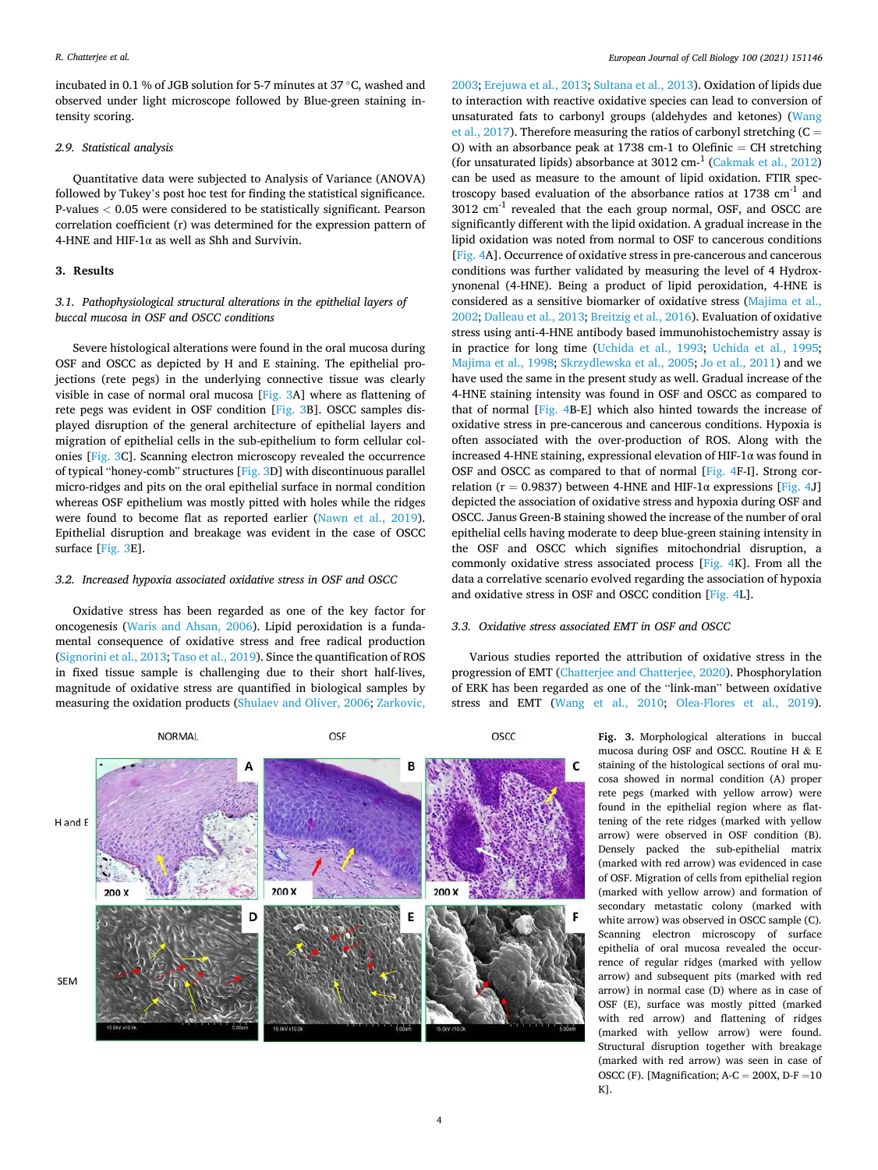incubated in 0.1 % of JGB solution for 5-7 minutes at 37 ◦C, washed and observed under light microscope followed by Blue-green staining intensity scoring.

#### *2.9. Statistical analysis*

Quantitative data were subjected to Analysis of Variance (ANOVA) followed by Tukey's post hoc test for finding the statistical significance. P-values *<* 0.05 were considered to be statistically significant. Pearson correlation coefficient (r) was determined for the expression pattern of 4-HNE and HIF-1 $\alpha$  as well as Shh and Survivin.

# **3. Results**

# *3.1. Pathophysiological structural alterations in the epithelial layers of buccal mucosa in OSF and OSCC conditions*

Severe histological alterations were found in the oral mucosa during OSF and OSCC as depicted by H and E staining. The epithelial projections (rete pegs) in the underlying connective tissue was clearly visible in case of normal oral mucosa [Fig. 3A] where as flattening of rete pegs was evident in OSF condition [Fig. 3B]. OSCC samples displayed disruption of the general architecture of epithelial layers and migration of epithelial cells in the sub-epithelium to form cellular colonies [Fig. 3C]. Scanning electron microscopy revealed the occurrence of typical "honey-comb" structures [Fig. 3D] with discontinuous parallel micro-ridges and pits on the oral epithelial surface in normal condition whereas OSF epithelium was mostly pitted with holes while the ridges were found to become flat as reported earlier ([Nawn et al., 2019](#page-9-0)). Epithelial disruption and breakage was evident in the case of OSCC surface [Fig. 3E].

#### *3.2. Increased hypoxia associated oxidative stress in OSF and OSCC*

Oxidative stress has been regarded as one of the key factor for oncogenesis [\(Waris and Ahsan, 2006](#page-10-0)). Lipid peroxidation is a fundamental consequence of oxidative stress and free radical production ([Signorini et al., 2013](#page-9-0); [Taso et al., 2019\)](#page-10-0). Since the quantification of ROS in fixed tissue sample is challenging due to their short half-lives, magnitude of oxidative stress are quantified in biological samples by measuring the oxidation products [\(Shulaev and Oliver, 2006](#page-9-0); [Zarkovic,](#page-10-0) 

[2003;](#page-10-0) [Erejuwa et al., 2013; Sultana et al., 2013\)](#page-9-0). Oxidation of lipids due to interaction with reactive oxidative species can lead to conversion of unsaturated fats to carbonyl groups (aldehydes and ketones) ([Wang](#page-10-0)  [et al., 2017\)](#page-10-0). Therefore measuring the ratios of carbonyl stretching  $(C =$ O) with an absorbance peak at 1738 cm-1 to Olefinic  $=$  CH stretching (for unsaturated lipids) absorbance at 3012 cm-1 ([Cakmak et al., 2012\)](#page-8-0) can be used as measure to the amount of lipid oxidation. FTIR spectroscopy based evaluation of the absorbance ratios at  $1738 \text{ cm}^{-1}$  and 3012 cm-1 revealed that the each group normal, OSF, and OSCC are significantly different with the lipid oxidation. A gradual increase in the lipid oxidation was noted from normal to OSF to cancerous conditions [[Fig. 4](#page-4-0)A]. Occurrence of oxidative stress in pre-cancerous and cancerous conditions was further validated by measuring the level of 4 Hydroxynonenal (4-HNE). Being a product of lipid peroxidation, 4-HNE is considered as a sensitive biomarker of oxidative stress ([Majima et al.,](#page-9-0)  [2002; Dalleau et al., 2013;](#page-9-0) [Breitzig et al., 2016](#page-8-0)). Evaluation of oxidative stress using anti-4-HNE antibody based immunohistochemistry assay is in practice for long time [\(Uchida et al., 1993](#page-10-0); [Uchida et al., 1995](#page-10-0); [Majima et al., 1998;](#page-9-0) [Skrzydlewska et al., 2005](#page-9-0); [Jo et al., 2011\)](#page-9-0) and we have used the same in the present study as well. Gradual increase of the 4-HNE staining intensity was found in OSF and OSCC as compared to that of normal [[Fig. 4B](#page-4-0)-E] which also hinted towards the increase of oxidative stress in pre-cancerous and cancerous conditions. Hypoxia is often associated with the over-production of ROS. Along with the increased 4-HNE staining, expressional elevation of HIF-1α was found in OSF and OSCC as compared to that of normal [\[Fig. 4F](#page-4-0)-I]. Strong correlation ( $r = 0.9837$ ) between 4-HNE and HIF-1 $\alpha$  expressions [\[Fig. 4](#page-4-0)J] depicted the association of oxidative stress and hypoxia during OSF and OSCC. Janus Green-B staining showed the increase of the number of oral epithelial cells having moderate to deep blue-green staining intensity in the OSF and OSCC which signifies mitochondrial disruption, a commonly oxidative stress associated process [\[Fig. 4](#page-4-0)K]. From all the data a correlative scenario evolved regarding the association of hypoxia and oxidative stress in OSF and OSCC condition [[Fig. 4L](#page-4-0)].

# *3.3. Oxidative stress associated EMT in OSF and OSCC*

Various studies reported the attribution of oxidative stress in the progression of EMT [\(Chatterjee and Chatterjee, 2020](#page-9-0)). Phosphorylation of ERK has been regarded as one of the "link-man" between oxidative stress and EMT ([Wang et al., 2010](#page-10-0); [Olea-Flores et al., 2019](#page-9-0)).



**Fig. 3.** Morphological alterations in buccal mucosa during OSF and OSCC. Routine H & E staining of the histological sections of oral mucosa showed in normal condition (A) proper rete pegs (marked with yellow arrow) were found in the epithelial region where as flattening of the rete ridges (marked with yellow arrow) were observed in OSF condition (B). Densely packed the sub-epithelial matrix (marked with red arrow) was evidenced in case of OSF. Migration of cells from epithelial region (marked with yellow arrow) and formation of secondary metastatic colony (marked with white arrow) was observed in OSCC sample (C). Scanning electron microscopy of surface epithelia of oral mucosa revealed the occurrence of regular ridges (marked with yellow arrow) and subsequent pits (marked with red arrow) in normal case (D) where as in case of OSF (E), surface was mostly pitted (marked with red arrow) and flattening of ridges (marked with yellow arrow) were found. Structural disruption together with breakage (marked with red arrow) was seen in case of OSCC (F). [Magnification;  $A-C = 200X$ ,  $D-F = 10$ K].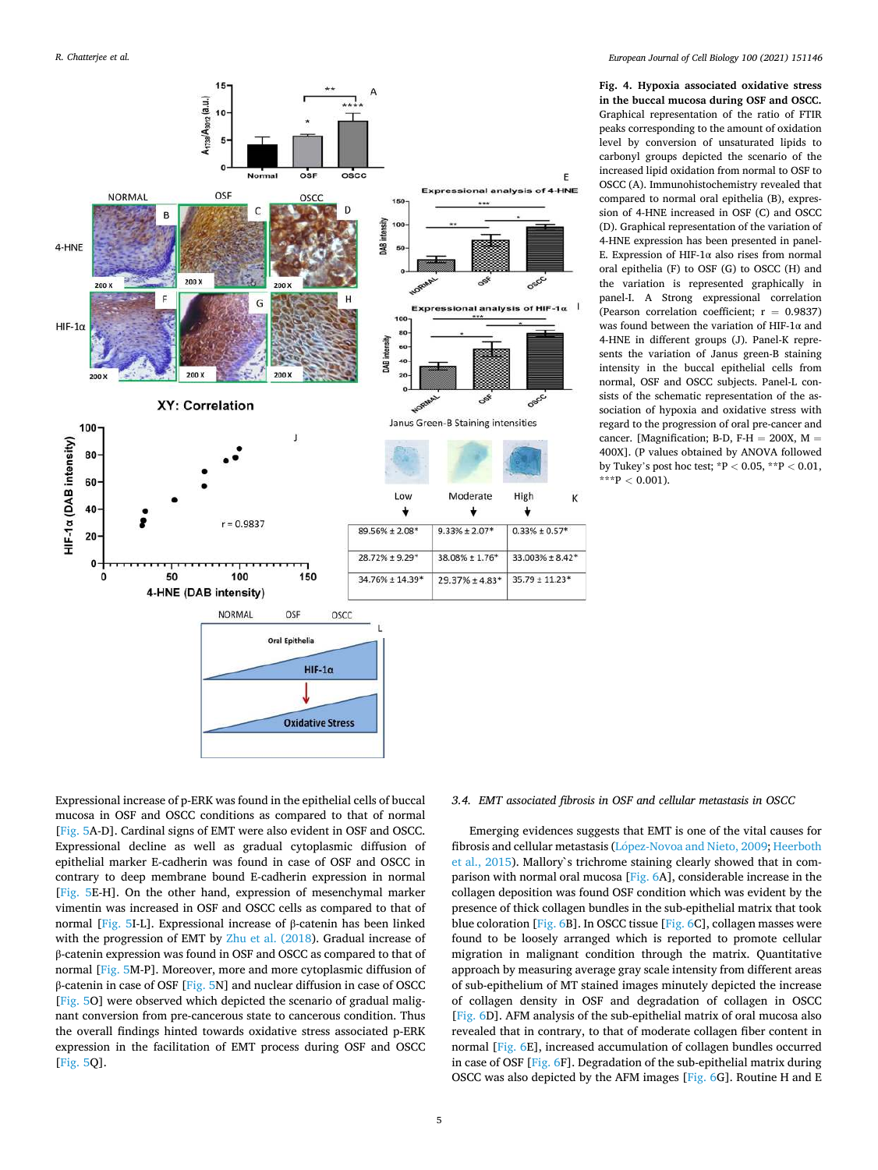<span id="page-4-0"></span>

**Fig. 4. Hypoxia associated oxidative stress in the buccal mucosa during OSF and OSCC.**  Graphical representation of the ratio of FTIR peaks corresponding to the amount of oxidation level by conversion of unsaturated lipids to carbonyl groups depicted the scenario of the increased lipid oxidation from normal to OSF to OSCC (A). Immunohistochemistry revealed that compared to normal oral epithelia (B), expression of 4-HNE increased in OSF (C) and OSCC (D). Graphical representation of the variation of 4-HNE expression has been presented in panel-E. Expression of HIF-1 $\alpha$  also rises from normal oral epithelia (F) to OSF (G) to OSCC (H) and the variation is represented graphically in panel-I. A Strong expressional correlation (Pearson correlation coefficient;  $r = 0.9837$ ) was found between the variation of HIF-1α and 4-HNE in different groups (J). Panel-K represents the variation of Janus green-B staining intensity in the buccal epithelial cells from normal, OSF and OSCC subjects. Panel-L consists of the schematic representation of the association of hypoxia and oxidative stress with regard to the progression of oral pre-cancer and cancer. [Magnification; B-D, F-H = 200X,  $M =$ 400X]. (P values obtained by ANOVA followed by Tukey's post hoc test; \*P *<* 0.05, \*\*P *<* 0.01,  $***P < 0.001$ ).

Expressional increase of p-ERK was found in the epithelial cells of buccal mucosa in OSF and OSCC conditions as compared to that of normal [[Fig. 5A](#page-5-0)-D]. Cardinal signs of EMT were also evident in OSF and OSCC. Expressional decline as well as gradual cytoplasmic diffusion of epithelial marker E-cadherin was found in case of OSF and OSCC in contrary to deep membrane bound E-cadherin expression in normal [[Fig. 5](#page-5-0)E-H]. On the other hand, expression of mesenchymal marker vimentin was increased in OSF and OSCC cells as compared to that of normal [\[Fig. 5I](#page-5-0)-L]. Expressional increase of β-catenin has been linked with the progression of EMT by [Zhu et al. \(2018\)](#page-10-0). Gradual increase of β-catenin expression was found in OSF and OSCC as compared to that of normal [\[Fig. 5](#page-5-0)M-P]. Moreover, more and more cytoplasmic diffusion of β-catenin in case of OSF [[Fig. 5](#page-5-0)N] and nuclear diffusion in case of OSCC [[Fig. 5](#page-5-0)O] were observed which depicted the scenario of gradual malignant conversion from pre-cancerous state to cancerous condition. Thus the overall findings hinted towards oxidative stress associated p-ERK expression in the facilitation of EMT process during OSF and OSCC [[Fig. 5](#page-5-0)Q].

# *3.4. EMT associated fibrosis in OSF and cellular metastasis in OSCC*

Emerging evidences suggests that EMT is one of the vital causes for fibrosis and cellular metastasis (López-Novoa and Nieto, 2009; Heerboth [et al., 2015](#page-9-0)). Mallory`s trichrome staining clearly showed that in comparison with normal oral mucosa [[Fig. 6](#page-6-0)A], considerable increase in the collagen deposition was found OSF condition which was evident by the presence of thick collagen bundles in the sub-epithelial matrix that took blue coloration [[Fig. 6B](#page-6-0)]. In OSCC tissue [[Fig. 6](#page-6-0)C], collagen masses were found to be loosely arranged which is reported to promote cellular migration in malignant condition through the matrix. Quantitative approach by measuring average gray scale intensity from different areas of sub-epithelium of MT stained images minutely depicted the increase of collagen density in OSF and degradation of collagen in OSCC [[Fig. 6D](#page-6-0)]. AFM analysis of the sub-epithelial matrix of oral mucosa also revealed that in contrary, to that of moderate collagen fiber content in normal [\[Fig. 6E](#page-6-0)], increased accumulation of collagen bundles occurred in case of OSF [[Fig. 6](#page-6-0)F]. Degradation of the sub-epithelial matrix during OSCC was also depicted by the AFM images [\[Fig. 6](#page-6-0)G]. Routine H and E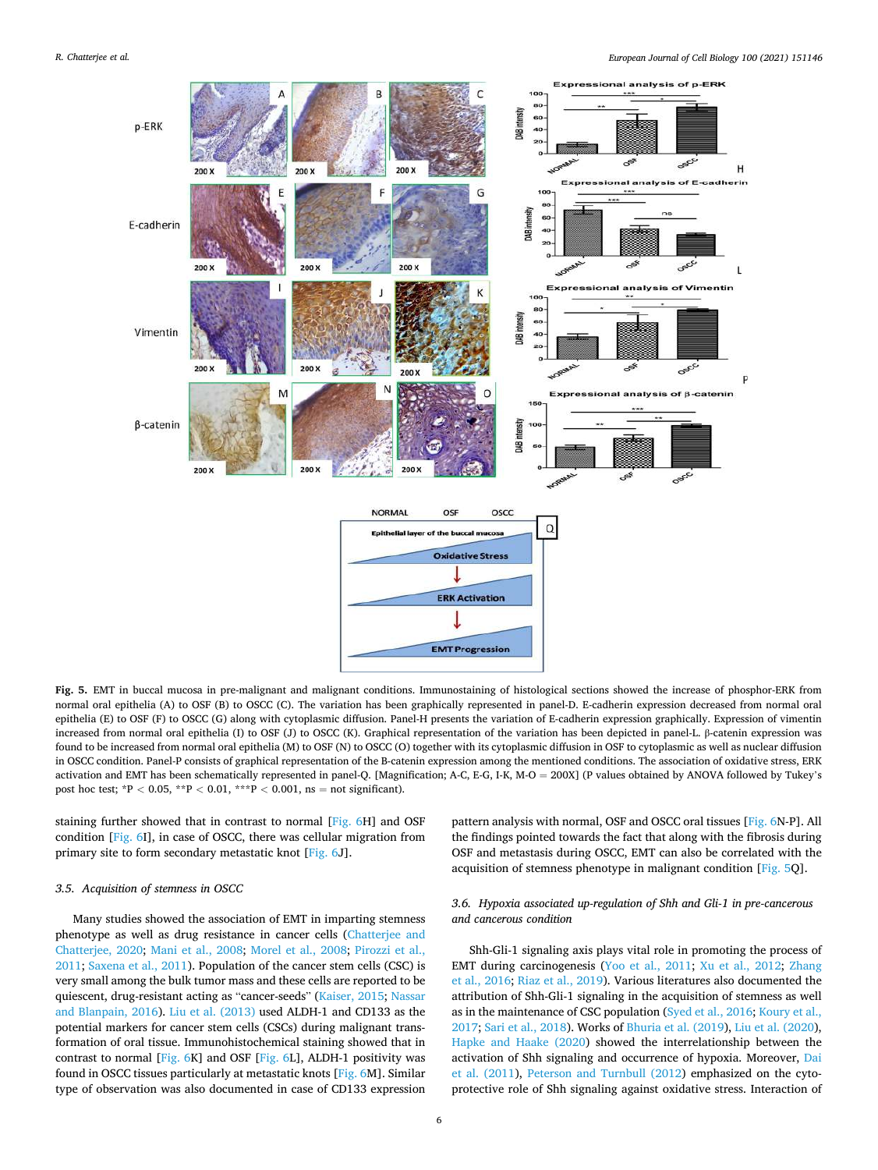<span id="page-5-0"></span>

**Fig. 5.** EMT in buccal mucosa in pre-malignant and malignant conditions. Immunostaining of histological sections showed the increase of phosphor-ERK from normal oral epithelia (A) to OSF (B) to OSCC (C). The variation has been graphically represented in panel-D. E-cadherin expression decreased from normal oral epithelia (E) to OSF (F) to OSCC (G) along with cytoplasmic diffusion. Panel-H presents the variation of E-cadherin expression graphically. Expression of vimentin increased from normal oral epithelia (I) to OSF (J) to OSCC (K). Graphical representation of the variation has been depicted in panel-L. β-catenin expression was found to be increased from normal oral epithelia (M) to OSF (N) to OSCC (O) together with its cytoplasmic diffusion in OSF to cytoplasmic as well as nuclear diffusion in OSCC condition. Panel-P consists of graphical representation of the B-catenin expression among the mentioned conditions. The association of oxidative stress, ERK activation and EMT has been schematically represented in panel-Q. [Magnification; A-C, E-G, I-K, M-O = 200X] (P values obtained by ANOVA followed by Tukey's post hoc test; \*P *<* 0.05, \*\*P *<* 0.01, \*\*\*P *<* 0.001, ns = not significant).

staining further showed that in contrast to normal [\[Fig. 6](#page-6-0)H] and OSF condition [[Fig. 6](#page-6-0)I], in case of OSCC, there was cellular migration from primary site to form secondary metastatic knot [[Fig. 6J](#page-6-0)].

#### *3.5. Acquisition of stemness in OSCC*

Many studies showed the association of EMT in imparting stemness phenotype as well as drug resistance in cancer cells ([Chatterjee and](#page-9-0)  [Chatterjee, 2020](#page-9-0); [Mani et al., 2008;](#page-9-0) [Morel et al., 2008;](#page-9-0) [Pirozzi et al.,](#page-9-0)  [2011; Saxena et al., 2011](#page-9-0)). Population of the cancer stem cells (CSC) is very small among the bulk tumor mass and these cells are reported to be quiescent, drug-resistant acting as "cancer-seeds" ([Kaiser, 2015; Nassar](#page-9-0)  [and Blanpain, 2016](#page-9-0)). [Liu et al. \(2013\)](#page-9-0) used ALDH-1 and CD133 as the potential markers for cancer stem cells (CSCs) during malignant transformation of oral tissue. Immunohistochemical staining showed that in contrast to normal [\[Fig. 6](#page-6-0)K] and OSF [\[Fig. 6](#page-6-0)L], ALDH-1 positivity was found in OSCC tissues particularly at metastatic knots [\[Fig. 6M](#page-6-0)]. Similar type of observation was also documented in case of CD133 expression

pattern analysis with normal, OSF and OSCC oral tissues [[Fig. 6](#page-6-0)N-P]. All the findings pointed towards the fact that along with the fibrosis during OSF and metastasis during OSCC, EMT can also be correlated with the acquisition of stemness phenotype in malignant condition [Fig. 5Q].

# *3.6. Hypoxia associated up-regulation of Shh and Gli-1 in pre-cancerous and cancerous condition*

Shh-Gli-1 signaling axis plays vital role in promoting the process of EMT during carcinogenesis [\(Yoo et al., 2011;](#page-10-0) [Xu et al., 2012](#page-10-0); [Zhang](#page-10-0)  [et al., 2016;](#page-10-0) [Riaz et al., 2019](#page-9-0)). Various literatures also documented the attribution of Shh-Gli-1 signaling in the acquisition of stemness as well as in the maintenance of CSC population ([Syed et al., 2016; Koury et al.,](#page-9-0)  [2017; Sari et al., 2018](#page-9-0)). Works of [Bhuria et al. \(2019](#page-8-0)), [Liu et al. \(2020](#page-9-0)), [Hapke and Haake \(2020](#page-9-0)) showed the interrelationship between the activation of Shh signaling and occurrence of hypoxia. Moreover, [Dai](#page-9-0)  [et al. \(2011](#page-9-0)), [Peterson and Turnbull \(2012\)](#page-9-0) emphasized on the cytoprotective role of Shh signaling against oxidative stress. Interaction of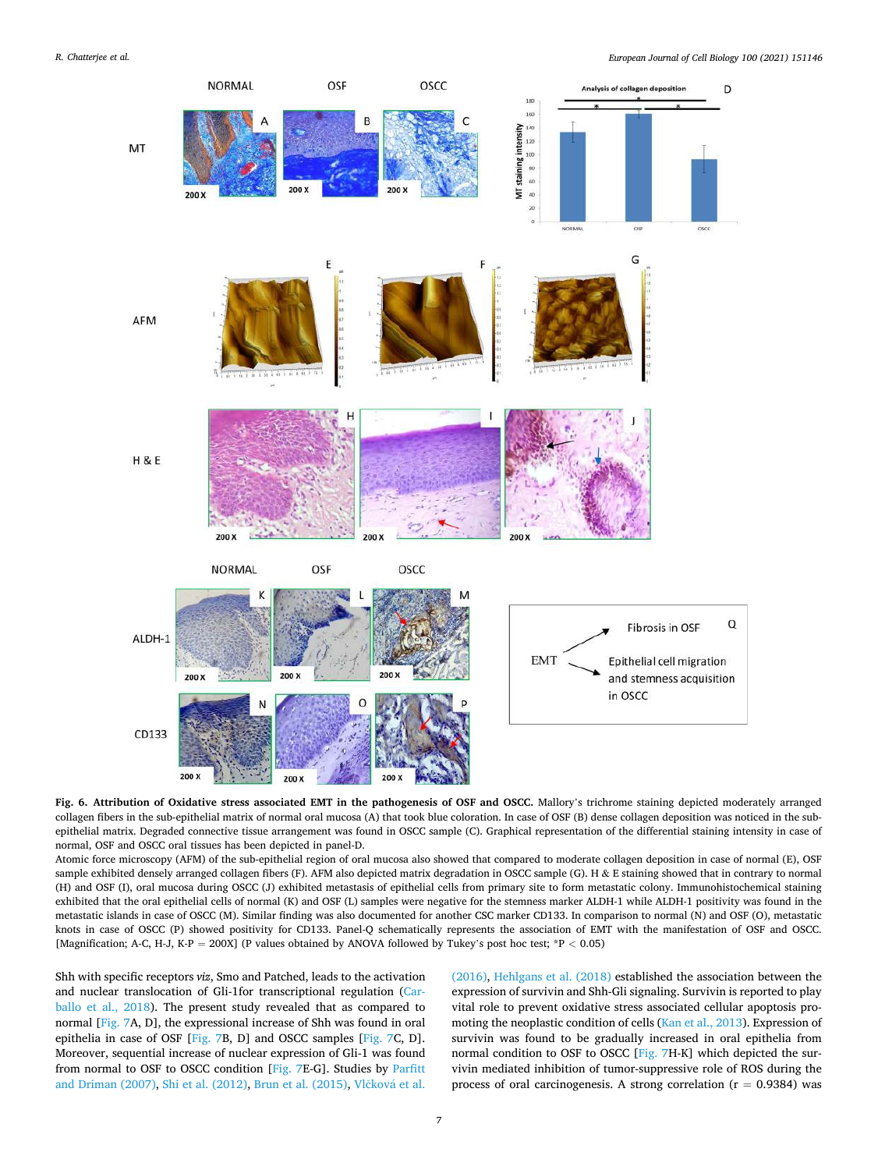<span id="page-6-0"></span>

**Fig. 6. Attribution of Oxidative stress associated EMT in the pathogenesis of OSF and OSCC.** Mallory's trichrome staining depicted moderately arranged collagen fibers in the sub-epithelial matrix of normal oral mucosa (A) that took blue coloration. In case of OSF (B) dense collagen deposition was noticed in the subepithelial matrix. Degraded connective tissue arrangement was found in OSCC sample (C). Graphical representation of the differential staining intensity in case of normal, OSF and OSCC oral tissues has been depicted in panel-D.

Atomic force microscopy (AFM) of the sub-epithelial region of oral mucosa also showed that compared to moderate collagen deposition in case of normal (E), OSF sample exhibited densely arranged collagen fibers (F). AFM also depicted matrix degradation in OSCC sample (G). H & E staining showed that in contrary to normal (H) and OSF (I), oral mucosa during OSCC (J) exhibited metastasis of epithelial cells from primary site to form metastatic colony. Immunohistochemical staining exhibited that the oral epithelial cells of normal (K) and OSF (L) samples were negative for the stemness marker ALDH-1 while ALDH-1 positivity was found in the metastatic islands in case of OSCC (M). Similar finding was also documented for another CSC marker CD133. In comparison to normal (N) and OSF (O), metastatic knots in case of OSCC (P) showed positivity for CD133. Panel-Q schematically represents the association of EMT with the manifestation of OSF and OSCC. [Magnification; A-C, H-J, K-P = 200X] (P values obtained by ANOVA followed by Tukey's post hoc test; \*P *<* 0.05)

Shh with specific receptors *viz*, Smo and Patched, leads to the activation and nuclear translocation of Gli-1for transcriptional regulation ([Car](#page-9-0)[ballo et al., 2018\)](#page-9-0). The present study revealed that as compared to normal [\[Fig. 7](#page-7-0)A, D], the expressional increase of Shh was found in oral epithelia in case of OSF [\[Fig. 7B](#page-7-0), D] and OSCC samples [[Fig. 7](#page-7-0)C, D]. Moreover, sequential increase of nuclear expression of Gli-1 was found from normal to OSF to OSCC condition [[Fig. 7](#page-7-0)E-G]. Studies by [Parfitt](#page-9-0)  [and Driman \(2007\), Shi et al. \(2012\),](#page-9-0) [Brun et al. \(2015\),](#page-8-0) Vlčková et al.

[\(2016\),](#page-10-0) [Hehlgans et al. \(2018\)](#page-9-0) established the association between the expression of survivin and Shh-Gli signaling. Survivin is reported to play vital role to prevent oxidative stress associated cellular apoptosis promoting the neoplastic condition of cells ([Kan et al., 2013\)](#page-9-0). Expression of survivin was found to be gradually increased in oral epithelia from normal condition to OSF to OSCC [\[Fig. 7H](#page-7-0)-K] which depicted the survivin mediated inhibition of tumor-suppressive role of ROS during the process of oral carcinogenesis. A strong correlation ( $r = 0.9384$ ) was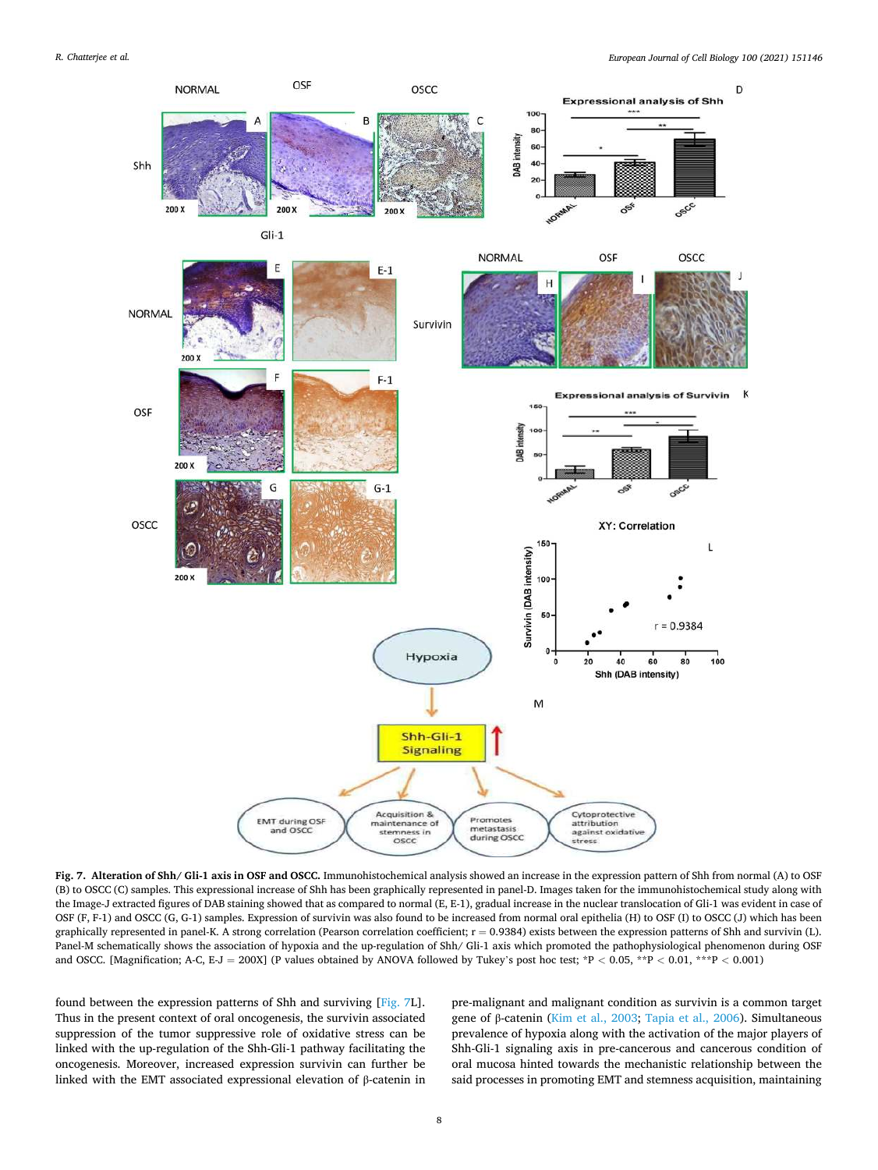<span id="page-7-0"></span>

**Fig. 7. Alteration of Shh/ Gli-1 axis in OSF and OSCC.** Immunohistochemical analysis showed an increase in the expression pattern of Shh from normal (A) to OSF (B) to OSCC (C) samples. This expressional increase of Shh has been graphically represented in panel-D. Images taken for the immunohistochemical study along with the Image-J extracted figures of DAB staining showed that as compared to normal (E, E-1), gradual increase in the nuclear translocation of Gli-1 was evident in case of OSF (F, F-1) and OSCC (G, G-1) samples. Expression of survivin was also found to be increased from normal oral epithelia (H) to OSF (I) to OSCC (J) which has been graphically represented in panel-K. A strong correlation (Pearson correlation coefficient;  $r = 0.9384$ ) exists between the expression patterns of Shh and survivin (L). Panel-M schematically shows the association of hypoxia and the up-regulation of Shh/ Gli-1 axis which promoted the pathophysiological phenomenon during OSF and OSCC. [Magnification; A-C, E-J = 200X] (P values obtained by ANOVA followed by Tukey's post hoc test; \*P *<* 0.05, \*\*P *<* 0.01, \*\*\*P *<* 0.001)

found between the expression patterns of Shh and surviving [Fig. 7L]. Thus in the present context of oral oncogenesis, the survivin associated suppression of the tumor suppressive role of oxidative stress can be linked with the up-regulation of the Shh-Gli-1 pathway facilitating the oncogenesis. Moreover, increased expression survivin can further be linked with the EMT associated expressional elevation of β-catenin in pre-malignant and malignant condition as survivin is a common target gene of β-catenin [\(Kim et al., 2003;](#page-9-0) [Tapia et al., 2006\)](#page-10-0). Simultaneous prevalence of hypoxia along with the activation of the major players of Shh-Gli-1 signaling axis in pre-cancerous and cancerous condition of oral mucosa hinted towards the mechanistic relationship between the said processes in promoting EMT and stemness acquisition, maintaining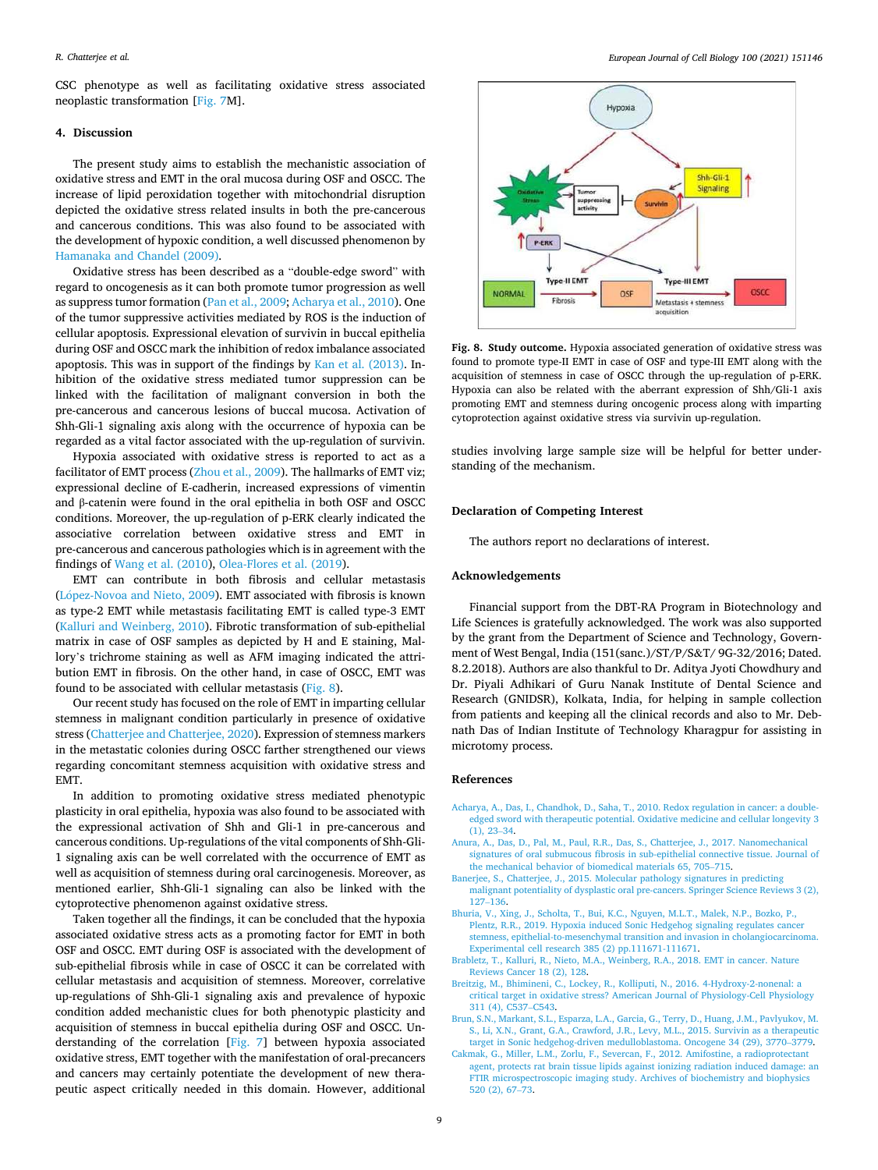<span id="page-8-0"></span>CSC phenotype as well as facilitating oxidative stress associated neoplastic transformation [[Fig. 7M](#page-7-0)].

# **4. Discussion**

The present study aims to establish the mechanistic association of oxidative stress and EMT in the oral mucosa during OSF and OSCC. The increase of lipid peroxidation together with mitochondrial disruption depicted the oxidative stress related insults in both the pre-cancerous and cancerous conditions. This was also found to be associated with the development of hypoxic condition, a well discussed phenomenon by [Hamanaka and Chandel \(2009\)](#page-9-0).

Oxidative stress has been described as a "double-edge sword" with regard to oncogenesis as it can both promote tumor progression as well as suppress tumor formation ([Pan et al., 2009](#page-9-0); Acharya et al., 2010). One of the tumor suppressive activities mediated by ROS is the induction of cellular apoptosis. Expressional elevation of survivin in buccal epithelia during OSF and OSCC mark the inhibition of redox imbalance associated apoptosis. This was in support of the findings by [Kan et al. \(2013\)](#page-9-0). Inhibition of the oxidative stress mediated tumor suppression can be linked with the facilitation of malignant conversion in both the pre-cancerous and cancerous lesions of buccal mucosa. Activation of Shh-Gli-1 signaling axis along with the occurrence of hypoxia can be regarded as a vital factor associated with the up-regulation of survivin.

Hypoxia associated with oxidative stress is reported to act as a facilitator of EMT process ([Zhou et al., 2009](#page-10-0)). The hallmarks of EMT viz; expressional decline of E-cadherin, increased expressions of vimentin and β-catenin were found in the oral epithelia in both OSF and OSCC conditions. Moreover, the up-regulation of p-ERK clearly indicated the associative correlation between oxidative stress and EMT in pre-cancerous and cancerous pathologies which is in agreement with the findings of [Wang et al. \(2010](#page-10-0)), [Olea-Flores et al. \(2019](#page-9-0)).

EMT can contribute in both fibrosis and cellular metastasis (López-Novoa and Nieto, 2009). EMT associated with fibrosis is known as type-2 EMT while metastasis facilitating EMT is called type-3 EMT ([Kalluri and Weinberg, 2010\)](#page-9-0). Fibrotic transformation of sub-epithelial matrix in case of OSF samples as depicted by H and E staining, Mallory's trichrome staining as well as AFM imaging indicated the attribution EMT in fibrosis. On the other hand, in case of OSCC, EMT was found to be associated with cellular metastasis (Fig. 8).

Our recent study has focused on the role of EMT in imparting cellular stemness in malignant condition particularly in presence of oxidative stress ([Chatterjee and Chatterjee, 2020](#page-9-0)). Expression of stemness markers in the metastatic colonies during OSCC farther strengthened our views regarding concomitant stemness acquisition with oxidative stress and EMT.

In addition to promoting oxidative stress mediated phenotypic plasticity in oral epithelia, hypoxia was also found to be associated with the expressional activation of Shh and Gli-1 in pre-cancerous and cancerous conditions. Up-regulations of the vital components of Shh-Gli-1 signaling axis can be well correlated with the occurrence of EMT as well as acquisition of stemness during oral carcinogenesis. Moreover, as mentioned earlier, Shh-Gli-1 signaling can also be linked with the cytoprotective phenomenon against oxidative stress.

Taken together all the findings, it can be concluded that the hypoxia associated oxidative stress acts as a promoting factor for EMT in both OSF and OSCC. EMT during OSF is associated with the development of sub-epithelial fibrosis while in case of OSCC it can be correlated with cellular metastasis and acquisition of stemness. Moreover, correlative up-regulations of Shh-Gli-1 signaling axis and prevalence of hypoxic condition added mechanistic clues for both phenotypic plasticity and acquisition of stemness in buccal epithelia during OSF and OSCC. Understanding of the correlation [[Fig. 7\]](#page-7-0) between hypoxia associated oxidative stress, EMT together with the manifestation of oral-precancers and cancers may certainly potentiate the development of new therapeutic aspect critically needed in this domain. However, additional



**Fig. 8. Study outcome.** Hypoxia associated generation of oxidative stress was found to promote type-II EMT in case of OSF and type-III EMT along with the acquisition of stemness in case of OSCC through the up-regulation of p-ERK. Hypoxia can also be related with the aberrant expression of Shh/Gli-1 axis promoting EMT and stemness during oncogenic process along with imparting cytoprotection against oxidative stress via survivin up-regulation.

studies involving large sample size will be helpful for better understanding of the mechanism.

#### **Declaration of Competing Interest**

The authors report no declarations of interest.

#### **Acknowledgements**

Financial support from the DBT-RA Program in Biotechnology and Life Sciences is gratefully acknowledged. The work was also supported by the grant from the Department of Science and Technology, Government of West Bengal, India (151(sanc.)/ST/P/S&T/ 9G-32/2016; Dated. 8.2.2018). Authors are also thankful to Dr. Aditya Jyoti Chowdhury and Dr. Piyali Adhikari of Guru Nanak Institute of Dental Science and Research (GNIDSR), Kolkata, India, for helping in sample collection from patients and keeping all the clinical records and also to Mr. Debnath Das of Indian Institute of Technology Kharagpur for assisting in microtomy process.

### **References**

- [Acharya, A., Das, I., Chandhok, D., Saha, T., 2010. Redox regulation in cancer: a double](http://refhub.elsevier.com/S0171-9335(20)30085-6/sbref0005)[edged sword with therapeutic potential. Oxidative medicine and cellular longevity 3](http://refhub.elsevier.com/S0171-9335(20)30085-6/sbref0005)   $(1)$ , 23–34.
- [Anura, A., Das, D., Pal, M., Paul, R.R., Das, S., Chatterjee, J., 2017. Nanomechanical](http://refhub.elsevier.com/S0171-9335(20)30085-6/sbref0010) [signatures of oral submucous fibrosis in sub-epithelial connective tissue. Journal of](http://refhub.elsevier.com/S0171-9335(20)30085-6/sbref0010)  [the mechanical behavior of biomedical materials 65, 705](http://refhub.elsevier.com/S0171-9335(20)30085-6/sbref0010)–715.
- [Banerjee, S., Chatterjee, J., 2015. Molecular pathology signatures in predicting](http://refhub.elsevier.com/S0171-9335(20)30085-6/sbref0015)  [malignant potentiality of dysplastic oral pre-cancers. Springer Science Reviews 3 \(2\),](http://refhub.elsevier.com/S0171-9335(20)30085-6/sbref0015)  127–[136](http://refhub.elsevier.com/S0171-9335(20)30085-6/sbref0015).
- [Bhuria, V., Xing, J., Scholta, T., Bui, K.C., Nguyen, M.L.T., Malek, N.P., Bozko, P.,](http://refhub.elsevier.com/S0171-9335(20)30085-6/sbref0020)  [Plentz, R.R., 2019. Hypoxia induced Sonic Hedgehog signaling regulates cancer](http://refhub.elsevier.com/S0171-9335(20)30085-6/sbref0020)  [stemness, epithelial-to-mesenchymal transition and invasion in cholangiocarcinoma.](http://refhub.elsevier.com/S0171-9335(20)30085-6/sbref0020)  [Experimental cell research 385 \(2\) pp.111671-111671](http://refhub.elsevier.com/S0171-9335(20)30085-6/sbref0020).
- [Brabletz, T., Kalluri, R., Nieto, M.A., Weinberg, R.A., 2018. EMT in cancer. Nature](http://refhub.elsevier.com/S0171-9335(20)30085-6/sbref0025) [Reviews Cancer 18 \(2\), 128.](http://refhub.elsevier.com/S0171-9335(20)30085-6/sbref0025)
- [Breitzig, M., Bhimineni, C., Lockey, R., Kolliputi, N., 2016. 4-Hydroxy-2-nonenal: a](http://refhub.elsevier.com/S0171-9335(20)30085-6/sbref0030) [critical target in oxidative stress? American Journal of Physiology-Cell Physiology](http://refhub.elsevier.com/S0171-9335(20)30085-6/sbref0030) [311 \(4\), C537](http://refhub.elsevier.com/S0171-9335(20)30085-6/sbref0030)–C543.
- [Brun, S.N., Markant, S.L., Esparza, L.A., Garcia, G., Terry, D., Huang, J.M., Pavlyukov, M.](http://refhub.elsevier.com/S0171-9335(20)30085-6/sbref0035)  [S., Li, X.N., Grant, G.A., Crawford, J.R., Levy, M.L., 2015. Survivin as a therapeutic](http://refhub.elsevier.com/S0171-9335(20)30085-6/sbref0035)  [target in Sonic hedgehog-driven medulloblastoma. Oncogene 34 \(29\), 3770](http://refhub.elsevier.com/S0171-9335(20)30085-6/sbref0035)–3779.
- [Cakmak, G., Miller, L.M., Zorlu, F., Severcan, F., 2012. Amifostine, a radioprotectant](http://refhub.elsevier.com/S0171-9335(20)30085-6/sbref0040)  [agent, protects rat brain tissue lipids against ionizing radiation induced damage: an](http://refhub.elsevier.com/S0171-9335(20)30085-6/sbref0040)  [FTIR microspectroscopic imaging study. Archives of biochemistry and biophysics](http://refhub.elsevier.com/S0171-9335(20)30085-6/sbref0040)  [520 \(2\), 67](http://refhub.elsevier.com/S0171-9335(20)30085-6/sbref0040)–73.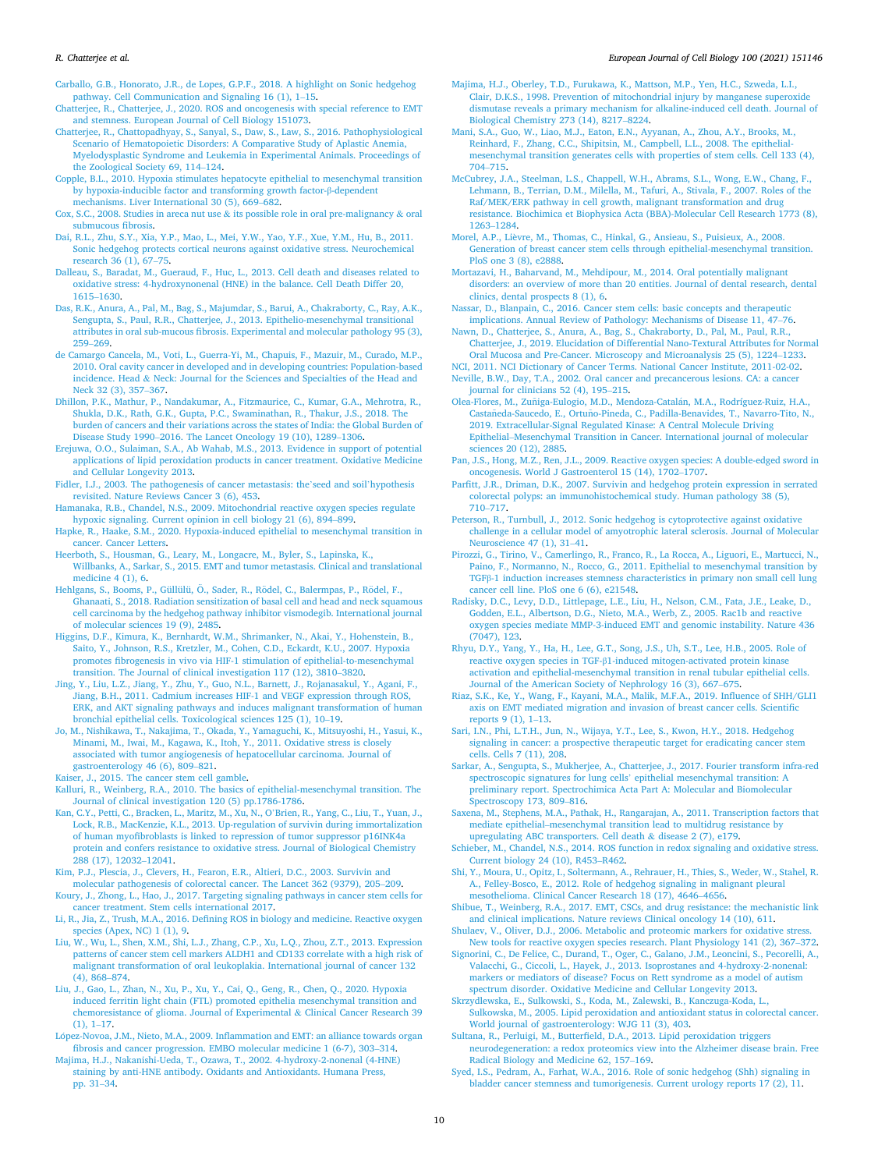<span id="page-9-0"></span>[Carballo, G.B., Honorato, J.R., de Lopes, G.P.F., 2018. A highlight on Sonic hedgehog](http://refhub.elsevier.com/S0171-9335(20)30085-6/sbref0045) [pathway. Cell Communication and Signaling 16 \(1\), 1](http://refhub.elsevier.com/S0171-9335(20)30085-6/sbref0045)–15.

[Chatterjee, R., Chatterjee, J., 2020. ROS and oncogenesis with special reference to EMT](http://refhub.elsevier.com/S0171-9335(20)30085-6/sbref0050)  [and stemness. European Journal of Cell Biology 151073](http://refhub.elsevier.com/S0171-9335(20)30085-6/sbref0050).

- [Chatterjee, R., Chattopadhyay, S., Sanyal, S., Daw, S., Law, S., 2016. Pathophysiological](http://refhub.elsevier.com/S0171-9335(20)30085-6/sbref0055)  [Scenario of Hematopoietic Disorders: A Comparative Study of Aplastic Anemia,](http://refhub.elsevier.com/S0171-9335(20)30085-6/sbref0055) [Myelodysplastic Syndrome and Leukemia in Experimental Animals. Proceedings of](http://refhub.elsevier.com/S0171-9335(20)30085-6/sbref0055) [the Zoological Society 69, 114](http://refhub.elsevier.com/S0171-9335(20)30085-6/sbref0055)–124.
- [Copple, B.L., 2010. Hypoxia stimulates hepatocyte epithelial to mesenchymal transition](http://refhub.elsevier.com/S0171-9335(20)30085-6/sbref0060)  [by hypoxia-inducible factor and transforming growth factor-](http://refhub.elsevier.com/S0171-9335(20)30085-6/sbref0060)β-dependent [mechanisms. Liver International 30 \(5\), 669](http://refhub.elsevier.com/S0171-9335(20)30085-6/sbref0060)–682.
- [Cox, S.C., 2008. Studies in areca nut use](http://refhub.elsevier.com/S0171-9335(20)30085-6/sbref0065) & its possible role in oral pre-malignancy & oral [submucous fibrosis.](http://refhub.elsevier.com/S0171-9335(20)30085-6/sbref0065)
- [Dai, R.L., Zhu, S.Y., Xia, Y.P., Mao, L., Mei, Y.W., Yao, Y.F., Xue, Y.M., Hu, B., 2011.](http://refhub.elsevier.com/S0171-9335(20)30085-6/sbref0070)  [Sonic hedgehog protects cortical neurons against oxidative stress. Neurochemical](http://refhub.elsevier.com/S0171-9335(20)30085-6/sbref0070) [research 36 \(1\), 67](http://refhub.elsevier.com/S0171-9335(20)30085-6/sbref0070)–75.
- [Dalleau, S., Baradat, M., Gueraud, F., Huc, L., 2013. Cell death and diseases related to](http://refhub.elsevier.com/S0171-9335(20)30085-6/sbref0075) [oxidative stress: 4-hydroxynonenal \(HNE\) in the balance. Cell Death Differ 20,](http://refhub.elsevier.com/S0171-9335(20)30085-6/sbref0075)  [1615](http://refhub.elsevier.com/S0171-9335(20)30085-6/sbref0075)–1630.
- [Das, R.K., Anura, A., Pal, M., Bag, S., Majumdar, S., Barui, A., Chakraborty, C., Ray, A.K.,](http://refhub.elsevier.com/S0171-9335(20)30085-6/sbref0080)  [Sengupta, S., Paul, R.R., Chatterjee, J., 2013. Epithelio-mesenchymal transitional](http://refhub.elsevier.com/S0171-9335(20)30085-6/sbref0080)  [attributes in oral sub-mucous fibrosis. Experimental and molecular pathology 95 \(3\),](http://refhub.elsevier.com/S0171-9335(20)30085-6/sbref0080)  259–[269](http://refhub.elsevier.com/S0171-9335(20)30085-6/sbref0080).
- [de Camargo Cancela, M., Voti, L., Guerra-Yi, M., Chapuis, F., Mazuir, M., Curado, M.P.,](http://refhub.elsevier.com/S0171-9335(20)30085-6/sbref0085)  [2010. Oral cavity cancer in developed and in developing countries: Population-based](http://refhub.elsevier.com/S0171-9335(20)30085-6/sbref0085)  incidence. Head & [Neck: Journal for the Sciences and Specialties of the Head and](http://refhub.elsevier.com/S0171-9335(20)30085-6/sbref0085) [Neck 32 \(3\), 357](http://refhub.elsevier.com/S0171-9335(20)30085-6/sbref0085)–367.
- [Dhillon, P.K., Mathur, P., Nandakumar, A., Fitzmaurice, C., Kumar, G.A., Mehrotra, R.,](http://refhub.elsevier.com/S0171-9335(20)30085-6/sbref0090)  [Shukla, D.K., Rath, G.K., Gupta, P.C., Swaminathan, R., Thakur, J.S., 2018. The](http://refhub.elsevier.com/S0171-9335(20)30085-6/sbref0090)  [burden of cancers and their variations across the states of India: the Global Burden of](http://refhub.elsevier.com/S0171-9335(20)30085-6/sbref0090)  Disease Study 1990–[2016. The Lancet Oncology 19 \(10\), 1289](http://refhub.elsevier.com/S0171-9335(20)30085-6/sbref0090)–1306.
- [Erejuwa, O.O., Sulaiman, S.A., Ab Wahab, M.S., 2013. Evidence in support of potential](http://refhub.elsevier.com/S0171-9335(20)30085-6/sbref0095) [applications of lipid peroxidation products in cancer treatment. Oxidative Medicine](http://refhub.elsevier.com/S0171-9335(20)30085-6/sbref0095)  [and Cellular Longevity 2013.](http://refhub.elsevier.com/S0171-9335(20)30085-6/sbref0095)
- [Fidler, I.J., 2003. The pathogenesis of cancer metastasis: the](http://refhub.elsevier.com/S0171-9335(20)30085-6/sbref0100)'seed and soil'hypothesis [revisited. Nature Reviews Cancer 3 \(6\), 453.](http://refhub.elsevier.com/S0171-9335(20)30085-6/sbref0100)
- [Hamanaka, R.B., Chandel, N.S., 2009. Mitochondrial reactive oxygen species regulate](http://refhub.elsevier.com/S0171-9335(20)30085-6/sbref0105)  [hypoxic signaling. Current opinion in cell biology 21 \(6\), 894](http://refhub.elsevier.com/S0171-9335(20)30085-6/sbref0105)–899.

[Hapke, R., Haake, S.M., 2020. Hypoxia-induced epithelial to mesenchymal transition in](http://refhub.elsevier.com/S0171-9335(20)30085-6/sbref0110)  [cancer. Cancer Letters](http://refhub.elsevier.com/S0171-9335(20)30085-6/sbref0110).

- [Heerboth, S., Housman, G., Leary, M., Longacre, M., Byler, S., Lapinska, K.,](http://refhub.elsevier.com/S0171-9335(20)30085-6/sbref0115) [Willbanks, A., Sarkar, S., 2015. EMT and tumor metastasis. Clinical and translational](http://refhub.elsevier.com/S0171-9335(20)30085-6/sbref0115)  [medicine 4 \(1\), 6](http://refhub.elsevier.com/S0171-9335(20)30085-6/sbref0115).
- Hehlgans, S., Booms, P., Güllülü, Ö., Sader, R., Rödel, C., Balermpas, P., Rödel, F., [Ghanaati, S., 2018. Radiation sensitization of basal cell and head and neck squamous](http://refhub.elsevier.com/S0171-9335(20)30085-6/sbref0120)  [cell carcinoma by the hedgehog pathway inhibitor vismodegib. International journal](http://refhub.elsevier.com/S0171-9335(20)30085-6/sbref0120)  [of molecular sciences 19 \(9\), 2485](http://refhub.elsevier.com/S0171-9335(20)30085-6/sbref0120).
- [Higgins, D.F., Kimura, K., Bernhardt, W.M., Shrimanker, N., Akai, Y., Hohenstein, B.,](http://refhub.elsevier.com/S0171-9335(20)30085-6/sbref0125)  [Saito, Y., Johnson, R.S., Kretzler, M., Cohen, C.D., Eckardt, K.U., 2007. Hypoxia](http://refhub.elsevier.com/S0171-9335(20)30085-6/sbref0125) [promotes fibrogenesis in vivo via HIF-1 stimulation of epithelial-to-mesenchymal](http://refhub.elsevier.com/S0171-9335(20)30085-6/sbref0125)  [transition. The Journal of clinical investigation 117 \(12\), 3810](http://refhub.elsevier.com/S0171-9335(20)30085-6/sbref0125)–3820.
- [Jing, Y., Liu, L.Z., Jiang, Y., Zhu, Y., Guo, N.L., Barnett, J., Rojanasakul, Y., Agani, F.,](http://refhub.elsevier.com/S0171-9335(20)30085-6/sbref0130) [Jiang, B.H., 2011. Cadmium increases HIF-1 and VEGF expression through ROS,](http://refhub.elsevier.com/S0171-9335(20)30085-6/sbref0130)  [ERK, and AKT signaling pathways and induces malignant transformation of human](http://refhub.elsevier.com/S0171-9335(20)30085-6/sbref0130)  [bronchial epithelial cells. Toxicological sciences 125 \(1\), 10](http://refhub.elsevier.com/S0171-9335(20)30085-6/sbref0130)–19.
- [Jo, M., Nishikawa, T., Nakajima, T., Okada, Y., Yamaguchi, K., Mitsuyoshi, H., Yasui, K.,](http://refhub.elsevier.com/S0171-9335(20)30085-6/sbref0135)  [Minami, M., Iwai, M., Kagawa, K., Itoh, Y., 2011. Oxidative stress is closely](http://refhub.elsevier.com/S0171-9335(20)30085-6/sbref0135)  [associated with tumor angiogenesis of hepatocellular carcinoma. Journal of](http://refhub.elsevier.com/S0171-9335(20)30085-6/sbref0135) [gastroenterology 46 \(6\), 809](http://refhub.elsevier.com/S0171-9335(20)30085-6/sbref0135)–821.
- [Kaiser, J., 2015. The cancer stem cell gamble](http://refhub.elsevier.com/S0171-9335(20)30085-6/sbref0140).
- [Kalluri, R., Weinberg, R.A., 2010. The basics of epithelial-mesenchymal transition. The](http://refhub.elsevier.com/S0171-9335(20)30085-6/sbref0145)  [Journal of clinical investigation 120 \(5\) pp.1786-1786](http://refhub.elsevier.com/S0171-9335(20)30085-6/sbref0145).
- [Kan, C.Y., Petti, C., Bracken, L., Maritz, M., Xu, N., O](http://refhub.elsevier.com/S0171-9335(20)30085-6/sbref0150)'Brien, R., Yang, C., Liu, T., Yuan, J., [Lock, R.B., MacKenzie, K.L., 2013. Up-regulation of survivin during immortalization](http://refhub.elsevier.com/S0171-9335(20)30085-6/sbref0150)  [of human myofibroblasts is linked to repression of tumor suppressor p16INK4a](http://refhub.elsevier.com/S0171-9335(20)30085-6/sbref0150) [protein and confers resistance to oxidative stress. Journal of Biological Chemistry](http://refhub.elsevier.com/S0171-9335(20)30085-6/sbref0150) [288 \(17\), 12032](http://refhub.elsevier.com/S0171-9335(20)30085-6/sbref0150)–12041.
- [Kim, P.J., Plescia, J., Clevers, H., Fearon, E.R., Altieri, D.C., 2003. Survivin and](http://refhub.elsevier.com/S0171-9335(20)30085-6/sbref0155) [molecular pathogenesis of colorectal cancer. The Lancet 362 \(9379\), 205](http://refhub.elsevier.com/S0171-9335(20)30085-6/sbref0155)–209.
- [Koury, J., Zhong, L., Hao, J., 2017. Targeting signaling pathways in cancer stem cells for](http://refhub.elsevier.com/S0171-9335(20)30085-6/sbref0160)  [cancer treatment. Stem cells international 2017](http://refhub.elsevier.com/S0171-9335(20)30085-6/sbref0160).
- [Li, R., Jia, Z., Trush, M.A., 2016. Defining ROS in biology and medicine. Reactive oxygen](http://refhub.elsevier.com/S0171-9335(20)30085-6/sbref0165)  [species \(Apex, NC\) 1 \(1\), 9.](http://refhub.elsevier.com/S0171-9335(20)30085-6/sbref0165)
- [Liu, W., Wu, L., Shen, X.M., Shi, L.J., Zhang, C.P., Xu, L.Q., Zhou, Z.T., 2013. Expression](http://refhub.elsevier.com/S0171-9335(20)30085-6/sbref0170)  [patterns of cancer stem cell markers ALDH1 and CD133 correlate with a high risk of](http://refhub.elsevier.com/S0171-9335(20)30085-6/sbref0170)  [malignant transformation of oral leukoplakia. International journal of cancer 132](http://refhub.elsevier.com/S0171-9335(20)30085-6/sbref0170)  [\(4\), 868](http://refhub.elsevier.com/S0171-9335(20)30085-6/sbref0170)–874.
- [Liu, J., Gao, L., Zhan, N., Xu, P., Xu, Y., Cai, Q., Geng, R., Chen, Q., 2020. Hypoxia](http://refhub.elsevier.com/S0171-9335(20)30085-6/sbref0175) [induced ferritin light chain \(FTL\) promoted epithelia mesenchymal transition and](http://refhub.elsevier.com/S0171-9335(20)30085-6/sbref0175)  [chemoresistance of glioma. Journal of Experimental](http://refhub.elsevier.com/S0171-9335(20)30085-6/sbref0175) & Clinical Cancer Research 39 [\(1\), 1](http://refhub.elsevier.com/S0171-9335(20)30085-6/sbref0175)–17.
- López-Novoa, J.M., Nieto, M.A., 2009. Inflammation and EMT: an alliance towards organ [fibrosis and cancer progression. EMBO molecular medicine 1 \(6-7\), 303](http://refhub.elsevier.com/S0171-9335(20)30085-6/sbref0180)–314.
- [Majima, H.J., Nakanishi-Ueda, T., Ozawa, T., 2002. 4-hydroxy-2-nonenal \(4-HNE\)](http://refhub.elsevier.com/S0171-9335(20)30085-6/sbref0185)  [staining by anti-HNE antibody. Oxidants and Antioxidants. Humana Press,](http://refhub.elsevier.com/S0171-9335(20)30085-6/sbref0185)  [pp. 31](http://refhub.elsevier.com/S0171-9335(20)30085-6/sbref0185)–34.
- [Majima, H.J., Oberley, T.D., Furukawa, K., Mattson, M.P., Yen, H.C., Szweda, L.I.,](http://refhub.elsevier.com/S0171-9335(20)30085-6/sbref0190)  [Clair, D.K.S., 1998. Prevention of mitochondrial injury by manganese superoxide](http://refhub.elsevier.com/S0171-9335(20)30085-6/sbref0190)  [dismutase reveals a primary mechanism for alkaline-induced cell death. Journal of](http://refhub.elsevier.com/S0171-9335(20)30085-6/sbref0190)  [Biological Chemistry 273 \(14\), 8217](http://refhub.elsevier.com/S0171-9335(20)30085-6/sbref0190)–8224.
- [Mani, S.A., Guo, W., Liao, M.J., Eaton, E.N., Ayyanan, A., Zhou, A.Y., Brooks, M.,](http://refhub.elsevier.com/S0171-9335(20)30085-6/sbref0195) [Reinhard, F., Zhang, C.C., Shipitsin, M., Campbell, L.L., 2008. The epithelial](http://refhub.elsevier.com/S0171-9335(20)30085-6/sbref0195)[mesenchymal transition generates cells with properties of stem cells. Cell 133 \(4\),](http://refhub.elsevier.com/S0171-9335(20)30085-6/sbref0195)  704–[715](http://refhub.elsevier.com/S0171-9335(20)30085-6/sbref0195).
- [McCubrey, J.A., Steelman, L.S., Chappell, W.H., Abrams, S.L., Wong, E.W., Chang, F.,](http://refhub.elsevier.com/S0171-9335(20)30085-6/sbref0200)  [Lehmann, B., Terrian, D.M., Milella, M., Tafuri, A., Stivala, F., 2007. Roles of the](http://refhub.elsevier.com/S0171-9335(20)30085-6/sbref0200) [Raf/MEK/ERK pathway in cell growth, malignant transformation and drug](http://refhub.elsevier.com/S0171-9335(20)30085-6/sbref0200) [resistance. Biochimica et Biophysica Acta \(BBA\)-Molecular Cell Research 1773 \(8\),](http://refhub.elsevier.com/S0171-9335(20)30085-6/sbref0200)  [1263](http://refhub.elsevier.com/S0171-9335(20)30085-6/sbref0200)–1284.
- Morel, A.P., Lièvre, M., Thomas, C., Hinkal, G., Ansieau, S., Puisieux, A., 2008. [Generation of breast cancer stem cells through epithelial-mesenchymal transition.](http://refhub.elsevier.com/S0171-9335(20)30085-6/sbref0205)  [PloS one 3 \(8\), e2888.](http://refhub.elsevier.com/S0171-9335(20)30085-6/sbref0205)
- [Mortazavi, H., Baharvand, M., Mehdipour, M., 2014. Oral potentially malignant](http://refhub.elsevier.com/S0171-9335(20)30085-6/sbref0210)  [disorders: an overview of more than 20 entities. Journal of dental research, dental](http://refhub.elsevier.com/S0171-9335(20)30085-6/sbref0210) [clinics, dental prospects 8 \(1\), 6](http://refhub.elsevier.com/S0171-9335(20)30085-6/sbref0210).
- [Nassar, D., Blanpain, C., 2016. Cancer stem cells: basic concepts and therapeutic](http://refhub.elsevier.com/S0171-9335(20)30085-6/sbref0215)  [implications. Annual Review of Pathology: Mechanisms of Disease 11, 47](http://refhub.elsevier.com/S0171-9335(20)30085-6/sbref0215)–76.

[Nawn, D., Chatterjee, S., Anura, A., Bag, S., Chakraborty, D., Pal, M., Paul, R.R.,](http://refhub.elsevier.com/S0171-9335(20)30085-6/sbref0220)  [Chatterjee, J., 2019. Elucidation of Differential Nano-Textural Attributes for Normal](http://refhub.elsevier.com/S0171-9335(20)30085-6/sbref0220)  [Oral Mucosa and Pre-Cancer. Microscopy and Microanalysis 25 \(5\), 1224](http://refhub.elsevier.com/S0171-9335(20)30085-6/sbref0220)–1233.

- [NCI, 2011. NCI Dictionary of Cancer Terms. National Cancer Institute, 2011-02-02.](http://refhub.elsevier.com/S0171-9335(20)30085-6/sbref0225) [Neville, B.W., Day, T.A., 2002. Oral cancer and precancerous lesions. CA: a cancer](http://refhub.elsevier.com/S0171-9335(20)30085-6/sbref0230)
- [journal for clinicians 52 \(4\), 195](http://refhub.elsevier.com/S0171-9335(20)30085-6/sbref0230)–215.
- Olea-Flores, M., Zuñiga-Eulogio, M.D., Mendoza-Catalán, M.A., Rodríguez-Ruiz, H.A., Castañeda-Saucedo, E., Ortuño-Pineda, C., Padilla-Benavides, T., Navarro-Tito, N., [2019. Extracellular-Signal Regulated Kinase: A Central Molecule Driving](http://refhub.elsevier.com/S0171-9335(20)30085-6/sbref0235) Epithelial–[Mesenchymal Transition in Cancer. International journal of molecular](http://refhub.elsevier.com/S0171-9335(20)30085-6/sbref0235)  [sciences 20 \(12\), 2885](http://refhub.elsevier.com/S0171-9335(20)30085-6/sbref0235).
- [Pan, J.S., Hong, M.Z., Ren, J.L., 2009. Reactive oxygen species: A double-edged sword in](http://refhub.elsevier.com/S0171-9335(20)30085-6/sbref0240)  [oncogenesis. World J Gastroenterol 15 \(14\), 1702](http://refhub.elsevier.com/S0171-9335(20)30085-6/sbref0240)–1707.
- [Parfitt, J.R., Driman, D.K., 2007. Survivin and hedgehog protein expression in serrated](http://refhub.elsevier.com/S0171-9335(20)30085-6/sbref0245)  [colorectal polyps: an immunohistochemical study. Human pathology 38 \(5\),](http://refhub.elsevier.com/S0171-9335(20)30085-6/sbref0245) 710–[717](http://refhub.elsevier.com/S0171-9335(20)30085-6/sbref0245).
- [Peterson, R., Turnbull, J., 2012. Sonic hedgehog is cytoprotective against oxidative](http://refhub.elsevier.com/S0171-9335(20)30085-6/sbref0250) [challenge in a cellular model of amyotrophic lateral sclerosis. Journal of Molecular](http://refhub.elsevier.com/S0171-9335(20)30085-6/sbref0250)  [Neuroscience 47 \(1\), 31](http://refhub.elsevier.com/S0171-9335(20)30085-6/sbref0250)–41.
- [Pirozzi, G., Tirino, V., Camerlingo, R., Franco, R., La Rocca, A., Liguori, E., Martucci, N.,](http://refhub.elsevier.com/S0171-9335(20)30085-6/sbref0255)  [Paino, F., Normanno, N., Rocco, G., 2011. Epithelial to mesenchymal transition by](http://refhub.elsevier.com/S0171-9335(20)30085-6/sbref0255)  TGFβ[-1 induction increases stemness characteristics in primary non small cell lung](http://refhub.elsevier.com/S0171-9335(20)30085-6/sbref0255) [cancer cell line. PloS one 6 \(6\), e21548](http://refhub.elsevier.com/S0171-9335(20)30085-6/sbref0255).
- [Radisky, D.C., Levy, D.D., Littlepage, L.E., Liu, H., Nelson, C.M., Fata, J.E., Leake, D.,](http://refhub.elsevier.com/S0171-9335(20)30085-6/sbref0260)  [Godden, E.L., Albertson, D.G., Nieto, M.A., Werb, Z., 2005. Rac1b and reactive](http://refhub.elsevier.com/S0171-9335(20)30085-6/sbref0260) [oxygen species mediate MMP-3-induced EMT and genomic instability. Nature 436](http://refhub.elsevier.com/S0171-9335(20)30085-6/sbref0260)  [\(7047\), 123](http://refhub.elsevier.com/S0171-9335(20)30085-6/sbref0260).
- [Rhyu, D.Y., Yang, Y., Ha, H., Lee, G.T., Song, J.S., Uh, S.T., Lee, H.B., 2005. Role of](http://refhub.elsevier.com/S0171-9335(20)30085-6/sbref0265) reactive oxygen species in TGF-β[1-induced mitogen-activated protein kinase](http://refhub.elsevier.com/S0171-9335(20)30085-6/sbref0265)  [activation and epithelial-mesenchymal transition in renal tubular epithelial cells.](http://refhub.elsevier.com/S0171-9335(20)30085-6/sbref0265)  [Journal of the American Society of Nephrology 16 \(3\), 667](http://refhub.elsevier.com/S0171-9335(20)30085-6/sbref0265)–675.
- [Riaz, S.K., Ke, Y., Wang, F., Kayani, M.A., Malik, M.F.A., 2019. Influence of SHH/GLI1](http://refhub.elsevier.com/S0171-9335(20)30085-6/sbref0270)  [axis on EMT mediated migration and invasion of breast cancer cells. Scientific](http://refhub.elsevier.com/S0171-9335(20)30085-6/sbref0270) [reports 9 \(1\), 1](http://refhub.elsevier.com/S0171-9335(20)30085-6/sbref0270)–13.
- [Sari, I.N., Phi, L.T.H., Jun, N., Wijaya, Y.T., Lee, S., Kwon, H.Y., 2018. Hedgehog](http://refhub.elsevier.com/S0171-9335(20)30085-6/sbref0275)  [signaling in cancer: a prospective therapeutic target for eradicating cancer stem](http://refhub.elsevier.com/S0171-9335(20)30085-6/sbref0275)  [cells. Cells 7 \(11\), 208.](http://refhub.elsevier.com/S0171-9335(20)30085-6/sbref0275)
- [Sarkar, A., Sengupta, S., Mukherjee, A., Chatterjee, J., 2017. Fourier transform infra-red](http://refhub.elsevier.com/S0171-9335(20)30085-6/sbref0280)  [spectroscopic signatures for lung cells](http://refhub.elsevier.com/S0171-9335(20)30085-6/sbref0280)' epithelial mesenchymal transition: A [preliminary report. Spectrochimica Acta Part A: Molecular and Biomolecular](http://refhub.elsevier.com/S0171-9335(20)30085-6/sbref0280)  [Spectroscopy 173, 809](http://refhub.elsevier.com/S0171-9335(20)30085-6/sbref0280)–816.
- [Saxena, M., Stephens, M.A., Pathak, H., Rangarajan, A., 2011. Transcription factors that](http://refhub.elsevier.com/S0171-9335(20)30085-6/sbref0285)  mediate epithelial–[mesenchymal transition lead to multidrug resistance by](http://refhub.elsevier.com/S0171-9335(20)30085-6/sbref0285)  [upregulating ABC transporters. Cell death](http://refhub.elsevier.com/S0171-9335(20)30085-6/sbref0285) & disease 2 (7), e179.
- [Schieber, M., Chandel, N.S., 2014. ROS function in redox signaling and oxidative stress.](http://refhub.elsevier.com/S0171-9335(20)30085-6/sbref0290)  [Current biology 24 \(10\), R453](http://refhub.elsevier.com/S0171-9335(20)30085-6/sbref0290)–R462.
- [Shi, Y., Moura, U., Opitz, I., Soltermann, A., Rehrauer, H., Thies, S., Weder, W., Stahel, R.](http://refhub.elsevier.com/S0171-9335(20)30085-6/sbref0295)  [A., Felley-Bosco, E., 2012. Role of hedgehog signaling in malignant pleural](http://refhub.elsevier.com/S0171-9335(20)30085-6/sbref0295)  [mesothelioma. Clinical Cancer Research 18 \(17\), 4646](http://refhub.elsevier.com/S0171-9335(20)30085-6/sbref0295)–4656.
- [Shibue, T., Weinberg, R.A., 2017. EMT, CSCs, and drug resistance: the mechanistic link](http://refhub.elsevier.com/S0171-9335(20)30085-6/sbref0300)  [and clinical implications. Nature reviews Clinical oncology 14 \(10\), 611.](http://refhub.elsevier.com/S0171-9335(20)30085-6/sbref0300)
- [Shulaev, V., Oliver, D.J., 2006. Metabolic and proteomic markers for oxidative stress.](http://refhub.elsevier.com/S0171-9335(20)30085-6/sbref0305) [New tools for reactive oxygen species research. Plant Physiology 141 \(2\), 367](http://refhub.elsevier.com/S0171-9335(20)30085-6/sbref0305)–372.
- [Signorini, C., De Felice, C., Durand, T., Oger, C., Galano, J.M., Leoncini, S., Pecorelli, A.,](http://refhub.elsevier.com/S0171-9335(20)30085-6/sbref0310)  [Valacchi, G., Ciccoli, L., Hayek, J., 2013. Isoprostanes and 4-hydroxy-2-nonenal:](http://refhub.elsevier.com/S0171-9335(20)30085-6/sbref0310) [markers or mediators of disease? Focus on Rett syndrome as a model of autism](http://refhub.elsevier.com/S0171-9335(20)30085-6/sbref0310)  [spectrum disorder. Oxidative Medicine and Cellular Longevity 2013](http://refhub.elsevier.com/S0171-9335(20)30085-6/sbref0310).
- [Skrzydlewska, E., Sulkowski, S., Koda, M., Zalewski, B., Kanczuga-Koda, L.,](http://refhub.elsevier.com/S0171-9335(20)30085-6/sbref0315)  [Sulkowska, M., 2005. Lipid peroxidation and antioxidant status in colorectal cancer.](http://refhub.elsevier.com/S0171-9335(20)30085-6/sbref0315)  [World journal of gastroenterology: WJG 11 \(3\), 403](http://refhub.elsevier.com/S0171-9335(20)30085-6/sbref0315).
- [Sultana, R., Perluigi, M., Butterfield, D.A., 2013. Lipid peroxidation triggers](http://refhub.elsevier.com/S0171-9335(20)30085-6/sbref0320) [neurodegeneration: a redox proteomics view into the Alzheimer disease brain. Free](http://refhub.elsevier.com/S0171-9335(20)30085-6/sbref0320)  [Radical Biology and Medicine 62, 157](http://refhub.elsevier.com/S0171-9335(20)30085-6/sbref0320)–169.
- [Syed, I.S., Pedram, A., Farhat, W.A., 2016. Role of sonic hedgehog \(Shh\) signaling in](http://refhub.elsevier.com/S0171-9335(20)30085-6/sbref0325)  [bladder cancer stemness and tumorigenesis. Current urology reports 17 \(2\), 11.](http://refhub.elsevier.com/S0171-9335(20)30085-6/sbref0325)